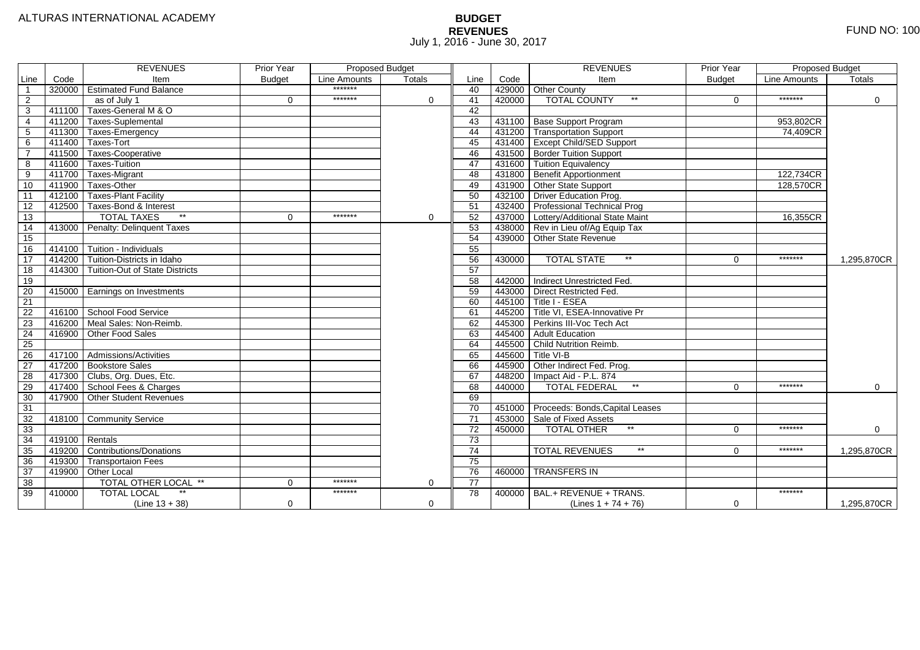# **BUDGET REVENUES** FUND NO: 100 July 1, 2016 - June 30, 2017

|                 |        | <b>REVENUES</b>                       | <b>Prior Year</b> | <b>Proposed Budget</b> |               |                 |        | <b>REVENUES</b>                       | <b>Prior Year</b> | <b>Proposed Budget</b> |               |
|-----------------|--------|---------------------------------------|-------------------|------------------------|---------------|-----------------|--------|---------------------------------------|-------------------|------------------------|---------------|
| Line            | Code   | Item                                  | <b>Budget</b>     | Line Amounts           | <b>Totals</b> | Line            | Code   | Item                                  | <b>Budget</b>     | <b>Line Amounts</b>    | <b>Totals</b> |
| $\mathbf{1}$    |        | 320000 Estimated Fund Balance         |                   | *******                |               | 40              |        | 429000 Other County                   |                   |                        |               |
| 2               |        | as of July 1                          | $\Omega$          | *******                | $\Omega$      | 41              | 420000 | <b>TOTAL COUNTY</b><br>$***$          | $\Omega$          | *******                | $\Omega$      |
| 3               |        | 411100 Taxes-General M & O            |                   |                        |               | 42              |        |                                       |                   |                        |               |
| $\overline{4}$  |        | 411200 Taxes-Suplemental              |                   |                        |               | 43              |        | 431100 Base Support Program           |                   | 953,802CR              |               |
| $\overline{5}$  |        | 411300 Taxes-Emergency                |                   |                        |               | 44              |        | 431200 Transportation Support         |                   | 74,409CR               |               |
| 6               |        | 411400 Taxes-Tort                     |                   |                        |               | 45              |        | 431400 Except Child/SED Support       |                   |                        |               |
| $\overline{7}$  |        | 411500 Taxes-Cooperative              |                   |                        |               | 46              |        | 431500 Border Tuition Support         |                   |                        |               |
| 8               |        | 411600 Taxes-Tuition                  |                   |                        |               | 47              |        | 431600 Tuition Equivalency            |                   |                        |               |
| 9               |        | 411700 Taxes-Migrant                  |                   |                        |               | 48              |        | 431800 Benefit Apportionment          |                   | 122,734CR              |               |
| 10              |        | 411900 Taxes-Other                    |                   |                        |               | 49              |        | 431900 Other State Support            |                   | 128,570CR              |               |
| 11              |        | 412100 Taxes-Plant Facility           |                   |                        |               | 50              |        | 432100 Driver Education Prog.         |                   |                        |               |
| $\overline{12}$ |        | 412500 Taxes-Bond & Interest          |                   |                        |               | 51              |        | 432400 Professional Technical Prog    |                   |                        |               |
| 13              |        | $*$<br><b>TOTAL TAXES</b>             | $\Omega$          | *******                | $\mathbf 0$   | 52              |        | 437000 Lottery/Additional State Maint |                   | 16,355CR               |               |
| 14              |        | 413000 Penalty: Delinquent Taxes      |                   |                        |               | 53              |        | 438000 Rev in Lieu of/Ag Equip Tax    |                   |                        |               |
| 15              |        |                                       |                   |                        |               | 54              |        | 439000 Other State Revenue            |                   |                        |               |
| 16              |        | 414100 Tuition - Individuals          |                   |                        |               | 55              |        |                                       |                   |                        |               |
| $\overline{17}$ |        | 414200 Tuition-Districts in Idaho     |                   |                        |               | 56              | 430000 | <b>TOTAL STATE</b><br>$*$             | $\Omega$          | *******                | 1,295,870CR   |
| 18              |        | 414300 Tuition-Out of State Districts |                   |                        |               | 57              |        |                                       |                   |                        |               |
| 19              |        |                                       |                   |                        |               | 58              |        | 442000 Indirect Unrestricted Fed.     |                   |                        |               |
| 20              |        | 415000 Earnings on Investments        |                   |                        |               | 59              |        | 443000 Direct Restricted Fed.         |                   |                        |               |
| 21              |        |                                       |                   |                        |               | 60              |        | 445100 Title I - ESEA                 |                   |                        |               |
| 22              |        | 416100 School Food Service            |                   |                        |               | 61              |        | 445200 Title VI, ESEA-Innovative Pr   |                   |                        |               |
| $\overline{23}$ |        | 416200 Meal Sales: Non-Reimb.         |                   |                        |               | 62              |        | 445300 Perkins III-Voc Tech Act       |                   |                        |               |
| 24              |        | 416900 Other Food Sales               |                   |                        |               | 63              |        | 445400 Adult Education                |                   |                        |               |
| 25              |        |                                       |                   |                        |               | 64              |        | 445500 Child Nutrition Reimb.         |                   |                        |               |
| 26              |        | 417100 Admissions/Activities          |                   |                        |               | 65              | 445600 | Title VI-B                            |                   |                        |               |
| $\overline{27}$ |        | 417200   Bookstore Sales              |                   |                        |               | 66              |        | 445900 Other Indirect Fed. Prog.      |                   |                        |               |
| 28              |        | 417300 Clubs, Org. Dues, Etc.         |                   |                        |               | 67              |        | 448200 Impact Aid - P.L. 874          |                   |                        |               |
| 29              |        | 417400 School Fees & Charges          |                   |                        |               | 68              | 440000 | $\star\star$<br><b>TOTAL FEDERAL</b>  | $\Omega$          | *******                | $\mathbf 0$   |
| 30              |        | 417900 Other Student Revenues         |                   |                        |               | 69              |        |                                       |                   |                        |               |
| 31              |        |                                       |                   |                        |               | $\overline{70}$ | 451000 | Proceeds: Bonds, Capital Leases       |                   |                        |               |
| 32              |        | 418100 Community Service              |                   |                        |               | $\overline{71}$ |        | 453000 Sale of Fixed Assets           |                   |                        |               |
| 33              |        |                                       |                   |                        |               | 72              | 450000 | $**$<br><b>TOTAL OTHER</b>            | $\Omega$          | *******                | 0             |
| 34              |        | 419100 Rentals                        |                   |                        |               | 73              |        |                                       |                   |                        |               |
| $\overline{35}$ |        | 419200 Contributions/Donations        |                   |                        |               | 74              |        | $***$<br><b>TOTAL REVENUES</b>        | $\Omega$          | *******                | 1,295,870CR   |
| 36              |        | 419300 Transportaion Fees             |                   |                        |               | 75              |        |                                       |                   |                        |               |
| 37              |        | 419900 Other Local                    |                   |                        |               | 76              | 460000 | <b>TRANSFERS IN</b>                   |                   |                        |               |
| 38              |        | TOTAL OTHER LOCAL **                  | $\Omega$          | *******                | 0             | $\overline{77}$ |        |                                       |                   |                        |               |
| 39              | 410000 | <b>TOTAL LOCAL</b>                    |                   | *******                |               | 78              | 400000 | BAL.+ REVENUE + TRANS.                |                   | *******                |               |
|                 |        | $(Line 13 + 38)$                      | $\mathbf 0$       |                        | $\Omega$      |                 |        | (Lines $1 + 74 + 76$ )                | $\mathbf 0$       |                        | 1,295,870CR   |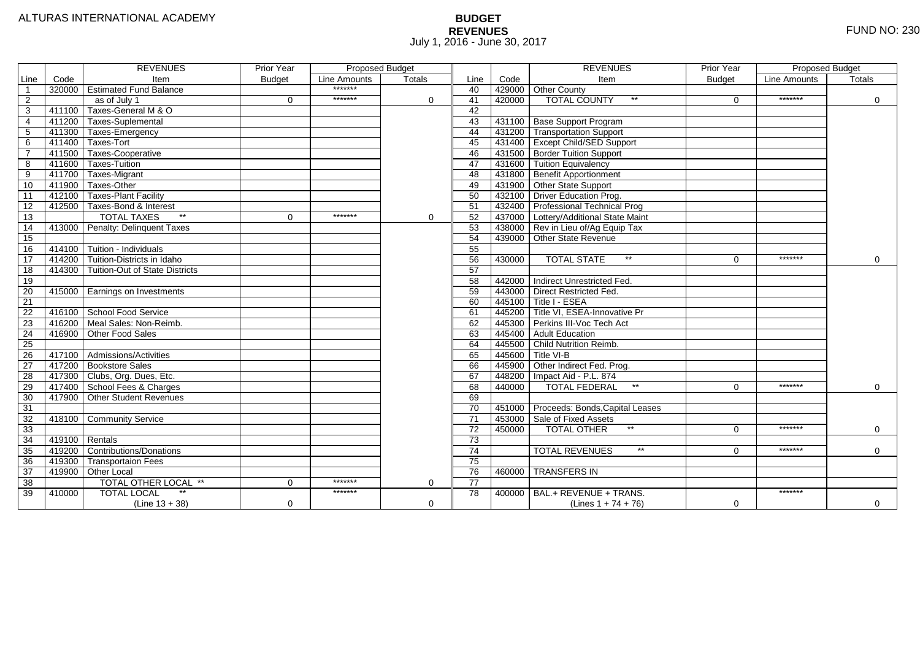# **BUDGET REVENUES** FUND NO: 230 July 1, 2016 - June 30, 2017

|                 |        | <b>REVENUES</b>                       | Prior Year    | <b>Proposed Budget</b> |          |                 |        | <b>REVENUES</b>                        | <b>Prior Year</b> | <b>Proposed Budget</b> |             |
|-----------------|--------|---------------------------------------|---------------|------------------------|----------|-----------------|--------|----------------------------------------|-------------------|------------------------|-------------|
| Line            | Code   | Item                                  | <b>Budget</b> | Line Amounts           | Totals   | Line            | Code   | Item                                   | <b>Budget</b>     | <b>Line Amounts</b>    | Totals      |
|                 |        | 320000 Estimated Fund Balance         |               | *******                |          | 40              |        | 429000 Other County                    |                   |                        |             |
| 2               |        | as of July 1                          | $\Omega$      | *******                | $\Omega$ | 41              | 420000 | <b>TOTAL COUNTY</b><br>$***$           | $\Omega$          | *******                | $\Omega$    |
| 3               | 411100 | Taxes-General M & O                   |               |                        |          | $\overline{42}$ |        |                                        |                   |                        |             |
| 4               | 411200 | <b>Taxes-Suplemental</b>              |               |                        |          | 43              |        | 431100 Base Support Program            |                   |                        |             |
| 5               | 411300 | Taxes-Emergency                       |               |                        |          | 44              |        | 431200 Transportation Support          |                   |                        |             |
| 6               | 411400 | Taxes-Tort                            |               |                        |          | 45              |        | 431400 Except Child/SED Support        |                   |                        |             |
|                 | 411500 | Taxes-Cooperative                     |               |                        |          | 46              |        | 431500 Border Tuition Support          |                   |                        |             |
| 8               | 411600 | Taxes-Tuition                         |               |                        |          | 47              |        | 431600 Tuition Equivalency             |                   |                        |             |
| 9               | 411700 | Taxes-Migrant                         |               |                        |          | 48              |        | 431800 Benefit Apportionment           |                   |                        |             |
| 10              | 411900 | Taxes-Other                           |               |                        |          | 49              |        | 431900 Other State Support             |                   |                        |             |
| 11              | 412100 | Taxes-Plant Facility                  |               |                        |          | 50              |        | 432100 Driver Education Prog.          |                   |                        |             |
| 12              | 412500 | Taxes-Bond & Interest                 |               |                        |          | 51              |        | 432400 Professional Technical Prog     |                   |                        |             |
| 13              |        | $*$<br><b>TOTAL TAXES</b>             | 0             | *******                | 0        | 52              |        | 437000 Lottery/Additional State Maint  |                   |                        |             |
| 14              | 413000 | Penalty: Delinquent Taxes             |               |                        |          | 53              |        | 438000 Rev in Lieu of/Ag Equip Tax     |                   |                        |             |
| 15              |        |                                       |               |                        |          | 54              |        | 439000 Other State Revenue             |                   |                        |             |
| 16              | 414100 | Tuition - Individuals                 |               |                        |          | 55              |        |                                        |                   |                        |             |
| $\overline{17}$ | 414200 | Tuition-Districts in Idaho            |               |                        |          | 56              | 430000 | $**$<br><b>TOTAL STATE</b>             | $\Omega$          | *******                | $\mathbf 0$ |
| 18              | 414300 | <b>Tuition-Out of State Districts</b> |               |                        |          | 57              |        |                                        |                   |                        |             |
| 19              |        |                                       |               |                        |          | 58              |        | 442000 Indirect Unrestricted Fed.      |                   |                        |             |
| 20              |        | 415000   Earnings on Investments      |               |                        |          | 59              |        | 443000 Direct Restricted Fed.          |                   |                        |             |
| 21              |        |                                       |               |                        |          | 60              |        | $445100$ Title I - ESEA                |                   |                        |             |
| 22              |        | 416100 School Food Service            |               |                        |          | 61              |        | 445200 Title VI, ESEA-Innovative Pr    |                   |                        |             |
| 23              | 416200 | Meal Sales: Non-Reimb.                |               |                        |          | 62              |        | 445300 Perkins III-Voc Tech Act        |                   |                        |             |
| 24              | 416900 | Other Food Sales                      |               |                        |          | 63              |        | 445400 Adult Education                 |                   |                        |             |
| 25              |        |                                       |               |                        |          | 64              |        | 445500 Child Nutrition Reimb.          |                   |                        |             |
| 26              |        | 417100 Admissions/Activities          |               |                        |          | 65              |        | 445600 Title VI-B                      |                   |                        |             |
| $\overline{27}$ | 417200 | <b>Bookstore Sales</b>                |               |                        |          | 66              |        | 445900 Other Indirect Fed. Prog.       |                   |                        |             |
| 28              | 417300 | Clubs, Org. Dues, Etc.                |               |                        |          | 67              |        | 448200   Impact Aid - P.L. 874         |                   |                        |             |
| 29              | 417400 | School Fees & Charges                 |               |                        |          | 68              | 440000 | $\star\star$<br><b>TOTAL FEDERAL</b>   | $\Omega$          | *******                | $\mathbf 0$ |
| 30              | 417900 | <b>Other Student Revenues</b>         |               |                        |          | 69              |        |                                        |                   |                        |             |
| $\overline{31}$ |        |                                       |               |                        |          | 70              |        | 451000 Proceeds: Bonds, Capital Leases |                   |                        |             |
| 32              | 418100 | Community Service                     |               |                        |          | $\overline{71}$ |        | 453000 Sale of Fixed Assets            |                   |                        |             |
| 33              |        |                                       |               |                        |          | 72              | 450000 | $**$<br><b>TOTAL OTHER</b>             | $\Omega$          | *******                | $\mathbf 0$ |
| 34              | 419100 | Rentals                               |               |                        |          | 73              |        |                                        |                   |                        |             |
| 35              | 419200 | Contributions/Donations               |               |                        |          | 74              |        | $***$<br><b>TOTAL REVENUES</b>         | 0                 | *******                | $\Omega$    |
| 36              | 419300 | <b>Transportaion Fees</b>             |               |                        |          | 75              |        |                                        |                   |                        |             |
| 37              | 419900 | Other Local                           |               |                        |          | 76              |        | 460000 TRANSFERS IN                    |                   |                        |             |
| 38              |        | TOTAL OTHER LOCAL **                  | 0             | *******                | 0        | 77              |        |                                        |                   |                        |             |
| 39              | 410000 | <b>TOTAL LOCAL</b><br>$^{\star\star}$ |               | *******                |          | 78              |        | 400000 BAL.+ REVENUE + TRANS.          |                   | *******                |             |
|                 |        | $(Line 13 + 38)$                      | 0             |                        | 0        |                 |        | (Lines $1 + 74 + 76$ )                 | $\Omega$          |                        | $\mathbf 0$ |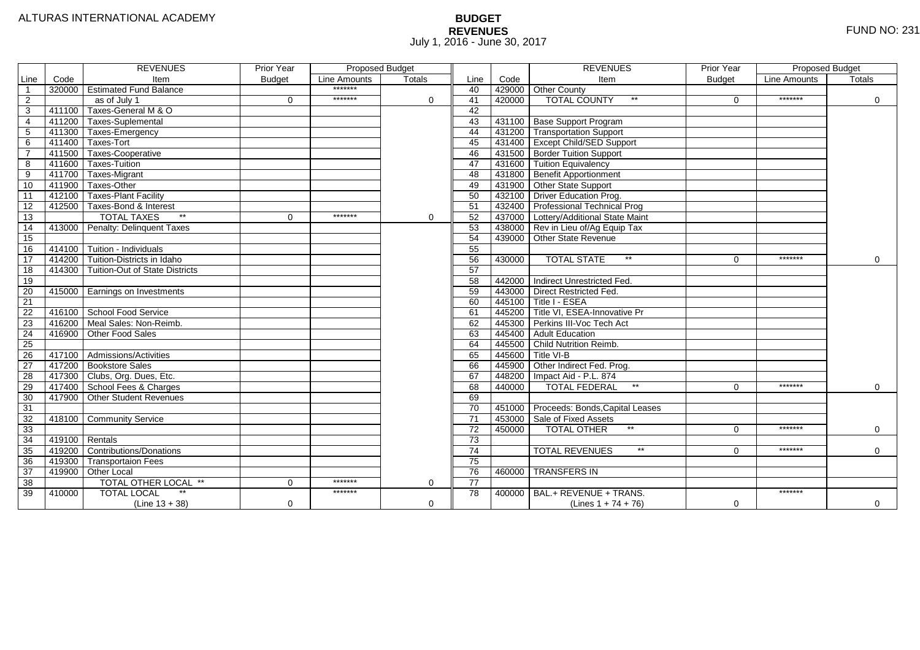# **BUDGET REVENUES** FUND NO: 231 July 1, 2016 - June 30, 2017

|                 |                  | <b>REVENUES</b>                    | Prior Year    | <b>Proposed Budget</b><br>Line Amounts<br>Totals |             |                 |        | <b>REVENUES</b>                        | <b>Prior Year</b> | Proposed Budget |             |
|-----------------|------------------|------------------------------------|---------------|--------------------------------------------------|-------------|-----------------|--------|----------------------------------------|-------------------|-----------------|-------------|
| Line            | Code             | Item                               | <b>Budget</b> |                                                  |             | Line            | Code   | Item                                   | <b>Budget</b>     | Line Amounts    | Totals      |
| $\overline{1}$  |                  | 320000 Estimated Fund Balance      |               | *******                                          |             | 40              |        | 429000 Other County                    |                   |                 |             |
| 2               |                  | as of July 1                       | $\Omega$      | *******                                          | $\Omega$    | 41              | 420000 | <b>TOTAL COUNTY</b><br>$***$           | $\Omega$          | *******         | 0           |
| 3               | 411100           | Taxes-General M & O                |               |                                                  |             | 42              |        |                                        |                   |                 |             |
| $\overline{4}$  | 411200           | Taxes-Suplemental                  |               |                                                  |             | 43              |        | 431100 Base Support Program            |                   |                 |             |
| 5               | 411300           | Taxes-Emergency                    |               |                                                  |             | 44              |        | 431200 Transportation Support          |                   |                 |             |
| 6               |                  | 411400 Taxes-Tort                  |               |                                                  |             | 45              |        | 431400 Except Child/SED Support        |                   |                 |             |
|                 |                  | 411500 Taxes-Cooperative           |               |                                                  |             | 46              |        | 431500 Border Tuition Support          |                   |                 |             |
| 8               | 411600           | Taxes-Tuition                      |               |                                                  |             | 47              |        | 431600 Tuition Equivalency             |                   |                 |             |
| 9               | 411700           | Taxes-Migrant                      |               |                                                  |             | 48              |        | 431800 Benefit Apportionment           |                   |                 |             |
| 10              | 411900           | Taxes-Other                        |               |                                                  |             | 49              |        | 431900 Other State Support             |                   |                 |             |
| 11              |                  | 412100 Taxes-Plant Facility        |               |                                                  |             | 50              |        | 432100 Driver Education Prog.          |                   |                 |             |
| 12              | 412500           | Taxes-Bond & Interest              |               |                                                  |             | 51              |        | 432400 Professional Technical Prog     |                   |                 |             |
| 13              |                  | $*$<br><b>TOTAL TAXES</b>          | $\Omega$      | *******                                          | $\mathbf 0$ | 52              |        | 437000 Lottery/Additional State Maint  |                   |                 |             |
| 14              |                  | 413000 Penalty: Delinquent Taxes   |               |                                                  |             | 53              |        | 438000 Rev in Lieu of/Ag Equip Tax     |                   |                 |             |
| 15              |                  |                                    |               |                                                  |             | 54              |        | 439000 Other State Revenue             |                   |                 |             |
| 16              | 414100           | Tuition - Individuals              |               |                                                  |             | 55              |        |                                        |                   |                 |             |
| 17              | 414200           | Tuition-Districts in Idaho         |               |                                                  |             | 56              | 430000 | $**$<br><b>TOTAL STATE</b>             | $\Omega$          | *******         | 0           |
| 18              | 414300           | Tuition-Out of State Districts     |               |                                                  |             | 57              |        |                                        |                   |                 |             |
| 19              |                  |                                    |               |                                                  |             | 58              |        | 442000 Indirect Unrestricted Fed.      |                   |                 |             |
| 20              |                  | 415000   Earnings on Investments   |               |                                                  |             | 59              |        | 443000 Direct Restricted Fed.          |                   |                 |             |
| 21              |                  |                                    |               |                                                  |             | 60              |        | $445100$ Title I - ESEA                |                   |                 |             |
| 22              |                  | 416100 School Food Service         |               |                                                  |             | 61              |        | 445200 Title VI. ESEA-Innovative Pr    |                   |                 |             |
| 23              |                  | 416200 Meal Sales: Non-Reimb.      |               |                                                  |             | 62              |        | 445300 Perkins III-Voc Tech Act        |                   |                 |             |
| 24              |                  | 416900 Other Food Sales            |               |                                                  |             | 63              |        | 445400 Adult Education                 |                   |                 |             |
| $\overline{25}$ |                  |                                    |               |                                                  |             | 64              |        | 445500 Child Nutrition Reimb.          |                   |                 |             |
| 26              |                  | 417100 Admissions/Activities       |               |                                                  |             | 65              |        | 445600 Title VI-B                      |                   |                 |             |
| 27              |                  | 417200 Bookstore Sales             |               |                                                  |             | 66              |        | 445900 Other Indirect Fed. Prog.       |                   |                 |             |
| 28              |                  | 417300 Clubs, Org. Dues, Etc.      |               |                                                  |             | 67              |        | 448200   Impact Aid - P.L. 874         |                   |                 |             |
| 29              |                  | 417400 School Fees & Charges       |               |                                                  |             | 68              | 440000 | $\star\star$<br><b>TOTAL FEDERAL</b>   | $\Omega$          | *******         | $\mathbf 0$ |
| 30              |                  | 417900 Other Student Revenues      |               |                                                  |             | 69              |        |                                        |                   |                 |             |
| 31              |                  |                                    |               |                                                  |             | $\overline{70}$ |        | 451000 Proceeds: Bonds, Capital Leases |                   |                 |             |
| 32              |                  | 418100 Community Service           |               |                                                  |             | $\overline{71}$ |        | 453000 Sale of Fixed Assets            |                   |                 |             |
| 33              |                  |                                    |               |                                                  |             | 72              | 450000 | $*$<br><b>TOTAL OTHER</b>              | $\Omega$          | *******         | 0           |
| 34              | $419100$ Rentals |                                    |               |                                                  |             | 73              |        |                                        |                   |                 |             |
| 35              |                  | 419200 Contributions/Donations     |               |                                                  |             | 74              |        | $***$<br><b>TOTAL REVENUES</b>         | $\Omega$          | *******         | $\Omega$    |
| 36              | 419300           | Transportaion Fees                 |               |                                                  |             | 75              |        |                                        |                   |                 |             |
| 37              |                  | 419900 Other Local                 |               |                                                  |             | 76              | 460000 | <b>TRANSFERS IN</b>                    |                   |                 |             |
| 38              |                  | TOTAL OTHER LOCAL **               | 0             | *******                                          | 0           | $\overline{77}$ |        |                                        |                   |                 |             |
| 39              | 410000           | $\star\star$<br><b>TOTAL LOCAL</b> |               | *******                                          |             | 78              | 400000 | BAL.+ REVENUE + TRANS.                 |                   | *******         |             |
|                 |                  | $(Line 13 + 38)$                   | 0             |                                                  | 0           |                 |        | (Lines $1 + 74 + 76$ )                 | 0                 |                 | $\mathbf 0$ |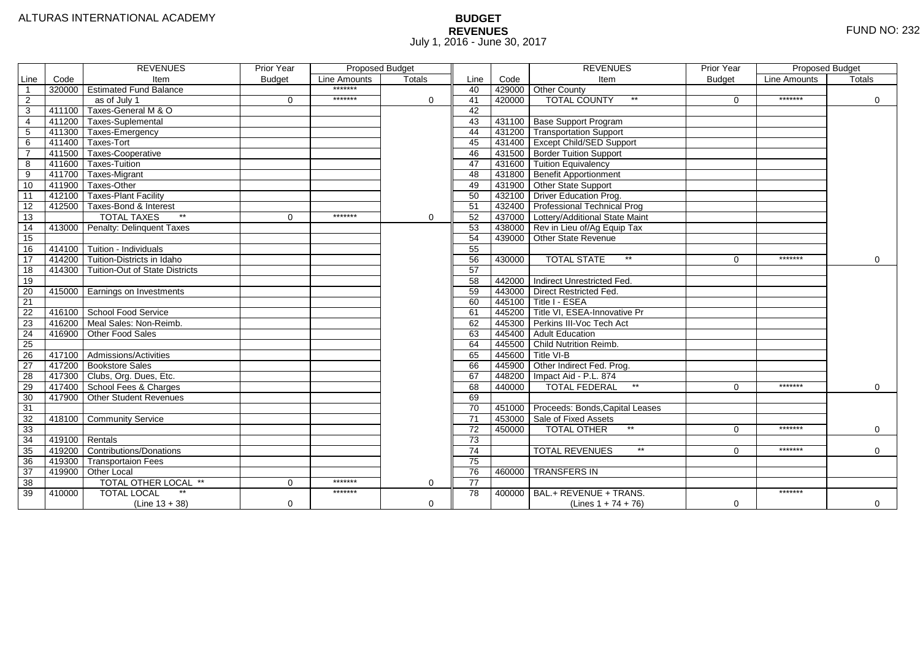# **BUDGET REVENUES** FUND NO: 232 July 1, 2016 - June 30, 2017

|                 |        | <b>REVENUES</b>                       | Prior Year    | <b>Proposed Budget</b> |          |                 |        | <b>REVENUES</b>                        | <b>Prior Year</b> | <b>Proposed Budget</b> |             |
|-----------------|--------|---------------------------------------|---------------|------------------------|----------|-----------------|--------|----------------------------------------|-------------------|------------------------|-------------|
| Line            | Code   | Item                                  | <b>Budget</b> | Line Amounts           | Totals   | Line            | Code   | Item                                   | <b>Budget</b>     | <b>Line Amounts</b>    | Totals      |
|                 |        | 320000 Estimated Fund Balance         |               | *******                |          | 40              |        | 429000 Other County                    |                   |                        |             |
| $\overline{2}$  |        | as of July 1                          | $\Omega$      | *******                | $\Omega$ | 41              | 420000 | <b>TOTAL COUNTY</b><br>$***$           | $\Omega$          | *******                | $\Omega$    |
| 3               | 411100 | Taxes-General M & O                   |               |                        |          | $\overline{42}$ |        |                                        |                   |                        |             |
| 4               | 411200 | <b>Taxes-Suplemental</b>              |               |                        |          | 43              |        | 431100 Base Support Program            |                   |                        |             |
| 5               | 411300 | Taxes-Emergency                       |               |                        |          | 44              |        | 431200 Transportation Support          |                   |                        |             |
| 6               | 411400 | Taxes-Tort                            |               |                        |          | 45              |        | 431400 Except Child/SED Support        |                   |                        |             |
|                 | 411500 | Taxes-Cooperative                     |               |                        |          | 46              |        | 431500 Border Tuition Support          |                   |                        |             |
| 8               | 411600 | Taxes-Tuition                         |               |                        |          | 47              |        | 431600 Tuition Equivalency             |                   |                        |             |
| 9               | 411700 | Taxes-Migrant                         |               |                        |          | 48              |        | 431800 Benefit Apportionment           |                   |                        |             |
| 10              | 411900 | Taxes-Other                           |               |                        |          | 49              |        | 431900 Other State Support             |                   |                        |             |
| 11              | 412100 | Taxes-Plant Facility                  |               |                        |          | 50              |        | 432100 Driver Education Prog.          |                   |                        |             |
| 12              | 412500 | Taxes-Bond & Interest                 |               |                        |          | 51              |        | 432400 Professional Technical Prog     |                   |                        |             |
| 13              |        | $*$<br><b>TOTAL TAXES</b>             | 0             | *******                | 0        | 52              |        | 437000 Lottery/Additional State Maint  |                   |                        |             |
| 14              | 413000 | Penalty: Delinquent Taxes             |               |                        |          | 53              |        | 438000 Rev in Lieu of/Ag Equip Tax     |                   |                        |             |
| 15              |        |                                       |               |                        |          | 54              |        | 439000 Other State Revenue             |                   |                        |             |
| 16              | 414100 | Tuition - Individuals                 |               |                        |          | 55              |        |                                        |                   |                        |             |
| $\overline{17}$ | 414200 | Tuition-Districts in Idaho            |               |                        |          | 56              | 430000 | $**$<br><b>TOTAL STATE</b>             | $\Omega$          | *******                | $\mathbf 0$ |
| 18              | 414300 | <b>Tuition-Out of State Districts</b> |               |                        |          | 57              |        |                                        |                   |                        |             |
| $\overline{19}$ |        |                                       |               |                        |          | 58              |        | 442000 Indirect Unrestricted Fed.      |                   |                        |             |
| 20              |        | 415000   Earnings on Investments      |               |                        |          | 59              |        | 443000 Direct Restricted Fed.          |                   |                        |             |
| 21              |        |                                       |               |                        |          | 60              |        | $445100$ Title I - ESEA                |                   |                        |             |
| 22              |        | 416100 School Food Service            |               |                        |          | 61              |        | 445200 Title VI, ESEA-Innovative Pr    |                   |                        |             |
| 23              | 416200 | Meal Sales: Non-Reimb.                |               |                        |          | 62              |        | 445300 Perkins III-Voc Tech Act        |                   |                        |             |
| 24              | 416900 | Other Food Sales                      |               |                        |          | 63              |        | 445400 Adult Education                 |                   |                        |             |
| 25              |        |                                       |               |                        |          | 64              |        | 445500 Child Nutrition Reimb.          |                   |                        |             |
| 26              |        | 417100 Admissions/Activities          |               |                        |          | 65              |        | 445600 Title VI-B                      |                   |                        |             |
| $\overline{27}$ | 417200 | <b>Bookstore Sales</b>                |               |                        |          | 66              |        | 445900 Other Indirect Fed. Prog.       |                   |                        |             |
| 28              | 417300 | Clubs, Org. Dues, Etc.                |               |                        |          | 67              |        | 448200   Impact Aid - P.L. 874         |                   |                        |             |
| 29              | 417400 | School Fees & Charges                 |               |                        |          | 68              | 440000 | $\star\star$<br><b>TOTAL FEDERAL</b>   | $\Omega$          | *******                | $\mathbf 0$ |
| 30              | 417900 | <b>Other Student Revenues</b>         |               |                        |          | 69              |        |                                        |                   |                        |             |
| $\overline{31}$ |        |                                       |               |                        |          | 70              |        | 451000 Proceeds: Bonds, Capital Leases |                   |                        |             |
| 32              | 418100 | Community Service                     |               |                        |          | $\overline{71}$ |        | 453000 Sale of Fixed Assets            |                   |                        |             |
| 33              |        |                                       |               |                        |          | 72              | 450000 | $**$<br><b>TOTAL OTHER</b>             | $\Omega$          | *******                | $\mathbf 0$ |
| 34              | 419100 | Rentals                               |               |                        |          | 73              |        |                                        |                   |                        |             |
| 35              | 419200 | Contributions/Donations               |               |                        |          | 74              |        | $***$<br><b>TOTAL REVENUES</b>         | 0                 | *******                | $\Omega$    |
| 36              | 419300 | <b>Transportaion Fees</b>             |               |                        |          | 75              |        |                                        |                   |                        |             |
| 37              | 419900 | Other Local                           |               |                        |          | 76              |        | 460000 TRANSFERS IN                    |                   |                        |             |
| 38              |        | TOTAL OTHER LOCAL **                  | 0             | *******                | 0        | 77              |        |                                        |                   |                        |             |
| 39              | 410000 | <b>TOTAL LOCAL</b><br>$^{\star\star}$ |               | *******                |          | 78              |        | 400000 BAL.+ REVENUE + TRANS.          |                   | *******                |             |
|                 |        | $(Line 13 + 38)$                      | 0             |                        | 0        |                 |        | (Lines $1 + 74 + 76$ )                 | $\Omega$          |                        | $\mathbf 0$ |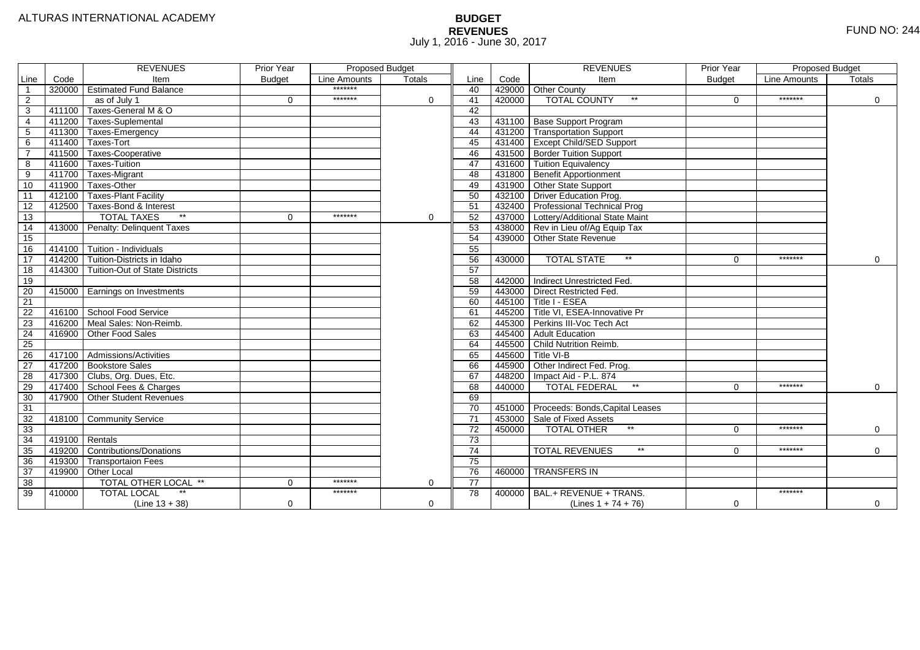# **BUDGET REVENUES** FUND NO: 244 July 1, 2016 - June 30, 2017

|                |                  | <b>REVENUES</b>                       | <b>Prior Year</b> | Proposed Budget<br>Line Amounts<br>Totals |              |                 |        | <b>REVENUES</b>                          | <b>Prior Year</b> | <b>Proposed Budget</b> |             |
|----------------|------------------|---------------------------------------|-------------------|-------------------------------------------|--------------|-----------------|--------|------------------------------------------|-------------------|------------------------|-------------|
| Line           | Code             | Item                                  | <b>Budget</b>     |                                           |              | Line            | Code   | Item                                     | <b>Budget</b>     | Line Amounts           | Totals      |
| $\overline{1}$ |                  | 320000 Estimated Fund Balance         |                   | *******                                   |              | 40              |        | 429000 Other County                      |                   |                        |             |
| 2              |                  | as of July 1                          | $\Omega$          | *******                                   | $\mathbf{0}$ | 41              | 420000 | <b>TOTAL COUNTY</b><br>$***$             | $\Omega$          | *******                | $\Omega$    |
| 3              | 411100           | Taxes-General M & O                   |                   |                                           |              | 42              |        |                                          |                   |                        |             |
| $\overline{4}$ | 411200           | Taxes-Suplemental                     |                   |                                           |              | $\overline{43}$ |        | 431100 Base Support Program              |                   |                        |             |
| 5              |                  | 411300 Taxes-Emergency                |                   |                                           |              | 44              |        | 431200 Transportation Support            |                   |                        |             |
| 6              |                  | 411400 Taxes-Tort                     |                   |                                           |              | 45              |        | 431400 Except Child/SED Support          |                   |                        |             |
| $\overline{7}$ |                  | 411500 Taxes-Cooperative              |                   |                                           |              | 46              |        | 431500 Border Tuition Support            |                   |                        |             |
| 8              | 411600           | Taxes-Tuition                         |                   |                                           |              | 47              |        | 431600 Tuition Equivalency               |                   |                        |             |
| 9              |                  | 411700 Taxes-Migrant                  |                   |                                           |              | 48              |        | 431800 Benefit Apportionment             |                   |                        |             |
| 10             | 411900           | Taxes-Other                           |                   |                                           |              | 49              |        | 431900 Other State Support               |                   |                        |             |
| 11             | 412100           | Taxes-Plant Facility                  |                   |                                           |              | 50              |        | 432100 Driver Education Prog.            |                   |                        |             |
| 12             | 412500           | Taxes-Bond & Interest                 |                   |                                           |              | 51              |        | 432400 Professional Technical Prog       |                   |                        |             |
| 13             |                  | $\ast\ast$<br><b>TOTAL TAXES</b>      | $\mathbf 0$       | *******                                   | 0            | 52              |        | 437000 Lottery/Additional State Maint    |                   |                        |             |
| 14             |                  | 413000 Penalty: Delinquent Taxes      |                   |                                           |              | 53              |        | 438000 Rev in Lieu of/Ag Equip Tax       |                   |                        |             |
| 15             |                  |                                       |                   |                                           |              | 54              |        | 439000 Other State Revenue               |                   |                        |             |
| 16             | 414100           | Tuition - Individuals                 |                   |                                           |              | 55              |        |                                          |                   |                        |             |
| 17             | 414200           | Tuition-Districts in Idaho            |                   |                                           |              | 56              | 430000 | <b>TOTAL STATE</b><br>$**$               | $\Omega$          | *******                | $\mathbf 0$ |
| 18             | 414300           | <b>Tuition-Out of State Districts</b> |                   |                                           |              | 57              |        |                                          |                   |                        |             |
| 19             |                  |                                       |                   |                                           |              | 58              |        | 442000 Indirect Unrestricted Fed.        |                   |                        |             |
| 20             |                  | 415000 Earnings on Investments        |                   |                                           |              | 59              |        | 443000 Direct Restricted Fed.            |                   |                        |             |
| 21             |                  |                                       |                   |                                           |              | 60              |        | $-445100$ Title I - ESEA                 |                   |                        |             |
| 22             |                  | 416100 School Food Service            |                   |                                           |              | 61              |        | 445200 Title VI, ESEA-Innovative Pr      |                   |                        |             |
| 23             |                  | 416200 Meal Sales: Non-Reimb.         |                   |                                           |              | 62              |        | 445300 Perkins III-Voc Tech Act          |                   |                        |             |
| 24             |                  | 416900 Other Food Sales               |                   |                                           |              | 63              |        | 445400 Adult Education                   |                   |                        |             |
| 25             |                  |                                       |                   |                                           |              | 64              |        | 445500 Child Nutrition Reimb.            |                   |                        |             |
| 26             |                  | 417100 Admissions/Activities          |                   |                                           |              | 65              |        | 445600 Title VI-B                        |                   |                        |             |
| 27             |                  | 417200 Bookstore Sales                |                   |                                           |              | 66              | 445900 | Other Indirect Fed. Prog.                |                   |                        |             |
| 28             |                  | 417300 Clubs, Org. Dues, Etc.         |                   |                                           |              | 67              | 448200 | Impact Aid - P.L. 874                    |                   |                        |             |
| 29             |                  | 417400 School Fees & Charges          |                   |                                           |              | 68              | 440000 | $\star\star$<br><b>TOTAL FEDERAL</b>     | $\Omega$          | *******                | $\mathbf 0$ |
| 30             | 417900           | <b>Other Student Revenues</b>         |                   |                                           |              | 69              |        |                                          |                   |                        |             |
| 31             |                  |                                       |                   |                                           |              | $\overline{70}$ |        | 451000 Proceeds: Bonds, Capital Leases   |                   |                        |             |
| 32             |                  | 418100 Community Service              |                   |                                           |              | $\overline{71}$ | 453000 | Sale of Fixed Assets                     |                   |                        |             |
| 33             |                  |                                       |                   |                                           |              | 72              | 450000 | $**$<br><b>TOTAL OTHER</b>               | $\Omega$          | *******                | $\mathbf 0$ |
| 34             | $419100$ Rentals |                                       |                   |                                           |              | 73              |        |                                          |                   |                        |             |
| 35             |                  | 419200 Contributions/Donations        |                   |                                           |              | 74              |        | $^{\star\star}$<br><b>TOTAL REVENUES</b> | 0                 | *******                | $\Omega$    |
| 36             | 419300           | <b>Transportaion Fees</b>             |                   |                                           |              | 75              |        |                                          |                   |                        |             |
| 37             |                  | 419900 Other Local                    |                   |                                           |              | 76              | 460000 | <b>TRANSFERS IN</b>                      |                   |                        |             |
| 38             |                  | TOTAL OTHER LOCAL **                  | $\mathbf 0$       | *******                                   | 0            | 77              |        |                                          |                   |                        |             |
| 39             | 410000           | $\star\star$<br><b>TOTAL LOCAL</b>    |                   | *******                                   |              | 78              |        | $400000$ BAL.+ REVENUE + TRANS.          |                   | *******                |             |
|                |                  | $(Line 13 + 38)$                      | $\mathbf 0$       |                                           | 0            |                 |        | (Lines $1 + 74 + 76$ )                   | $\Omega$          |                        | $\mathbf 0$ |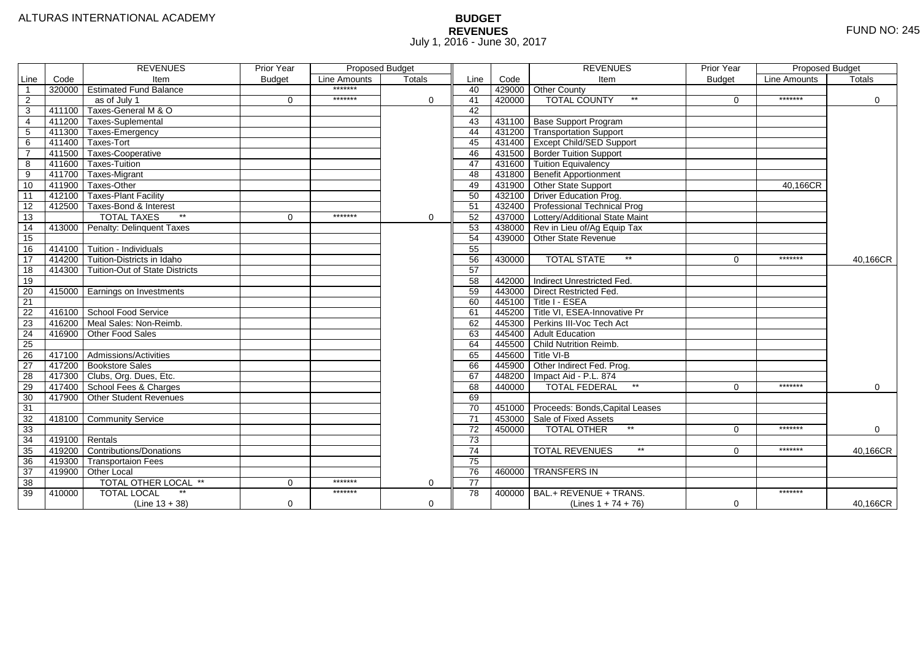# **BUDGET REVENUES** FUND NO: 245 July 1, 2016 - June 30, 2017

|                 |                  | <b>REVENUES</b>                       | Prior Year    | Proposed Budget |             |                 |        | <b>REVENUES</b>                         | Prior Year    | <b>Proposed Budget</b> |          |
|-----------------|------------------|---------------------------------------|---------------|-----------------|-------------|-----------------|--------|-----------------------------------------|---------------|------------------------|----------|
| Line            | Code             | Item                                  | <b>Budget</b> | Line Amounts    | Totals      | Line            | Code   | Item                                    | <b>Budget</b> | Line Amounts           | Totals   |
| $\overline{1}$  |                  | 320000 Estimated Fund Balance         |               | *******         |             | 40              |        | 429000 Other County                     |               |                        |          |
| $\overline{2}$  |                  | as of July 1                          | $\Omega$      | *******         | $\mathbf 0$ | 41              | 420000 | $^{\star\star}$<br><b>TOTAL COUNTY</b>  | $\Omega$      | *******                | $\Omega$ |
| 3               |                  | 411100 Taxes-General M & O            |               |                 |             | 42              |        |                                         |               |                        |          |
| $\overline{4}$  |                  | 411200   Taxes-Suplemental            |               |                 |             | 43              |        | 431100 Base Support Program             |               |                        |          |
| 5               |                  | 411300 Taxes-Emergency                |               |                 |             | 44              |        | 431200 Transportation Support           |               |                        |          |
| 6               |                  | 411400 Taxes-Tort                     |               |                 |             | 45              |        | 431400 Except Child/SED Support         |               |                        |          |
| $\overline{7}$  |                  | 411500 Taxes-Cooperative              |               |                 |             | 46              |        | 431500 Border Tuition Support           |               |                        |          |
| 8               |                  | 411600 Taxes-Tuition                  |               |                 |             | 47              |        | 431600 Tuition Equivalency              |               |                        |          |
| 9               |                  | 411700 Taxes-Migrant                  |               |                 |             | 48              |        | 431800 Benefit Apportionment            |               |                        |          |
| 10              |                  | $-411900$ Taxes-Other                 |               |                 |             | 49              |        | 431900 Other State Support              |               | 40.166CR               |          |
| 11              |                  | 412100 Taxes-Plant Facility           |               |                 |             | 50              |        | 432100 Driver Education Prog.           |               |                        |          |
| 12              |                  | 412500 Taxes-Bond & Interest          |               |                 |             | 51              |        | 432400 Professional Technical Prog      |               |                        |          |
| 13              |                  | <b>TOTAL TAXES</b>                    | $\Omega$      | *******         | 0           | 52              |        | 437000 Lottery/Additional State Maint   |               |                        |          |
| 14              |                  | 413000 Penalty: Delinquent Taxes      |               |                 |             | 53              |        | 438000 Rev in Lieu of/Ag Equip Tax      |               |                        |          |
| 15              |                  |                                       |               |                 |             | 54              |        | 439000 Other State Revenue              |               |                        |          |
| 16              |                  | 414100 Tuition - Individuals          |               |                 |             | 55              |        |                                         |               |                        |          |
| 17              |                  | 414200 Tuition-Districts in Idaho     |               |                 |             | 56              | 430000 | <b>TOTAL STATE</b><br>$\star\star$      | $\Omega$      | *******                | 40,166CR |
| 18              |                  | 414300 Tuition-Out of State Districts |               |                 |             | 57              |        |                                         |               |                        |          |
| 19              |                  |                                       |               |                 |             | 58              |        | 442000 Indirect Unrestricted Fed.       |               |                        |          |
| 20              |                  | 415000 Earnings on Investments        |               |                 |             | 59              |        | 443000 Direct Restricted Fed.           |               |                        |          |
| 21              |                  |                                       |               |                 |             | 60              |        | 445100 Title I - ESEA                   |               |                        |          |
| 22              |                  | 416100 School Food Service            |               |                 |             | 61              |        | $-445200$ Title VI. ESEA-Innovative Pr  |               |                        |          |
| $\overline{23}$ |                  | 416200 Meal Sales: Non-Reimb.         |               |                 |             | 62              |        | 445300 Perkins III-Voc Tech Act         |               |                        |          |
| 24              |                  | 416900 Other Food Sales               |               |                 |             | 63              |        | 445400 Adult Education                  |               |                        |          |
| $\overline{25}$ |                  |                                       |               |                 |             | 64              |        | 445500 Child Nutrition Reimb.           |               |                        |          |
| $\overline{26}$ |                  | 417100 Admissions/Activities          |               |                 |             | 65              |        | 445600 Title VI-B                       |               |                        |          |
| $\overline{27}$ |                  | 417200 Bookstore Sales                |               |                 |             | 66              |        | 445900 Other Indirect Fed. Prog.        |               |                        |          |
| $\overline{28}$ |                  | 417300 Clubs, Org. Dues, Etc.         |               |                 |             | 67              |        | 448200   Impact Aid - P.L. 874          |               |                        |          |
| 29              |                  | 417400 School Fees & Charges          |               |                 |             | 68              | 440000 | $^{\star\star}$<br><b>TOTAL FEDERAL</b> | $\mathbf 0$   | *******                | 0        |
| 30              |                  | 417900 Other Student Revenues         |               |                 |             | 69              |        |                                         |               |                        |          |
| 31              |                  |                                       |               |                 |             | $\overline{70}$ |        | 451000 Proceeds: Bonds, Capital Leases  |               |                        |          |
| 32              |                  | 418100 Community Service              |               |                 |             | $\overline{71}$ |        | 453000 Sale of Fixed Assets             |               |                        |          |
| 33              |                  |                                       |               |                 |             | 72              | 450000 | $^{\star\star}$<br><b>TOTAL OTHER</b>   | $\Omega$      | *******                | 0        |
| 34              | $419100$ Rentals |                                       |               |                 |             | 73              |        |                                         |               |                        |          |
| $\overline{35}$ |                  | 419200 Contributions/Donations        |               |                 |             | 74              |        | $\star\star$<br><b>TOTAL REVENUES</b>   | $\Omega$      | *******                | 40,166CR |
| $\overline{36}$ |                  | 419300 Transportaion Fees             |               |                 |             | 75              |        |                                         |               |                        |          |
| $\overline{37}$ |                  | 419900 Other Local                    |               |                 |             | 76              | 460000 | <b>TRANSFERS IN</b>                     |               |                        |          |
| 38              |                  | TOTAL OTHER LOCAL **                  | $\mathbf 0$   | *******         | 0           | 77              |        |                                         |               |                        |          |
| 39              | 410000           | <b>TOTAL LOCAL</b>                    |               | *******         |             | 78              | 400000 | BAL.+ REVENUE + TRANS.                  |               | *******                |          |
|                 |                  | $(Line 13 + 38)$                      | $\mathbf 0$   |                 | $\Omega$    |                 |        | (Lines $1 + 74 + 76$ )                  | 0             |                        | 40,166CR |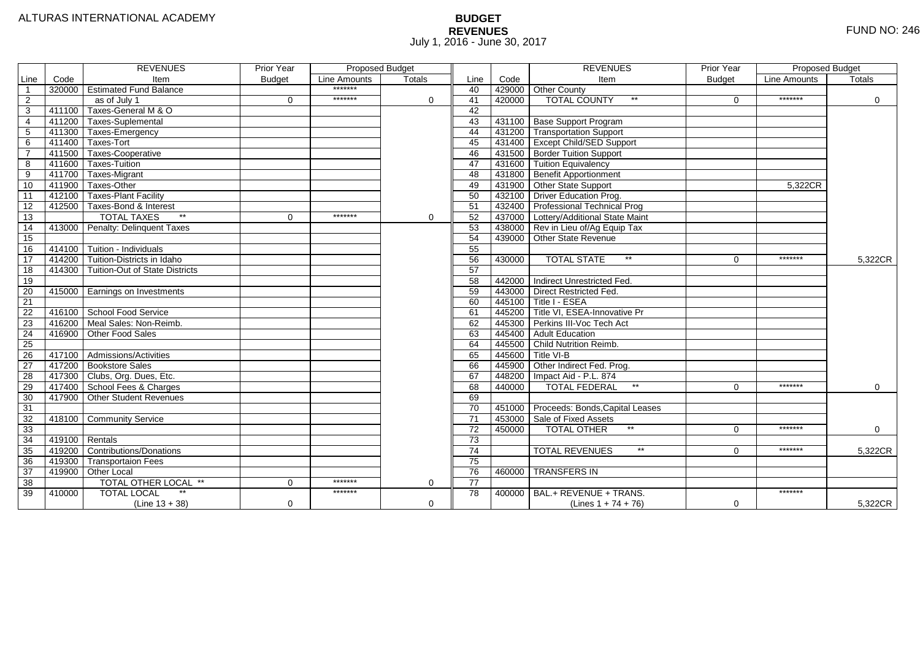# **BUDGET REVENUES** FUND NO: 246 July 1, 2016 - June 30, 2017

|                 |        | <b>REVENUES</b>                       | Prior Year    | <b>Proposed Budget</b> |               |      |        | <b>REVENUES</b>                          | Prior Year    | <b>Proposed Budget</b> |               |
|-----------------|--------|---------------------------------------|---------------|------------------------|---------------|------|--------|------------------------------------------|---------------|------------------------|---------------|
| Line            | Code   | Item                                  | <b>Budget</b> | Line Amounts           | <b>Totals</b> | Line | Code   | Item                                     | <b>Budget</b> | Line Amounts           | <b>Totals</b> |
| $\overline{1}$  |        | 320000   Estimated Fund Balance       |               | *******                |               | 40   |        | 429000 Other County                      |               |                        |               |
| $\overline{2}$  |        | as of July 1                          | $\Omega$      | *******                | $\Omega$      | 41   | 420000 | $^{\star\star}$<br>TOTAL COUNTY          | $\Omega$      | *******                | $\Omega$      |
| 3               | 411100 | Taxes-General M & O                   |               |                        |               | 42   |        |                                          |               |                        |               |
| $\overline{4}$  |        | 411200 Taxes-Suplemental              |               |                        |               | 43   |        | 431100 Base Support Program              |               |                        |               |
| $\overline{5}$  | 411300 | Taxes-Emergency                       |               |                        |               | 44   | 431200 | <b>Transportation Support</b>            |               |                        |               |
| 6               |        | 411400 Taxes-Tort                     |               |                        |               | 45   |        | 431400 Except Child/SED Support          |               |                        |               |
| $\overline{7}$  |        | 411500 Taxes-Cooperative              |               |                        |               | 46   |        | 431500 Border Tuition Support            |               |                        |               |
| $\overline{8}$  | 411600 | Taxes-Tuition                         |               |                        |               | 47   |        | 431600 Tuition Equivalency               |               |                        |               |
| $\overline{9}$  | 411700 | Taxes-Migrant                         |               |                        |               | 48   | 431800 | <b>Benefit Apportionment</b>             |               |                        |               |
| 10              |        | 411900 Taxes-Other                    |               |                        |               | 49   |        | 431900 Other State Support               |               | 5.322CR                |               |
| 11              |        | 412100 Taxes-Plant Facility           |               |                        |               | 50   |        | 432100 Driver Education Prog.            |               |                        |               |
| 12              |        | 412500 Taxes-Bond & Interest          |               |                        |               | 51   |        | 432400 Professional Technical Prog       |               |                        |               |
| 13              |        | <b>TOTAL TAXES</b><br>$\star\star$    | $\Omega$      | *******                | 0             | 52   |        | 437000 Lottery/Additional State Maint    |               |                        |               |
| 14              |        | 413000   Penalty: Delinquent Taxes    |               |                        |               | 53   |        | 438000 Rev in Lieu of/Ag Equip Tax       |               |                        |               |
| 15              |        |                                       |               |                        |               | 54   |        | 439000 Other State Revenue               |               |                        |               |
| 16              | 414100 | Tuition - Individuals                 |               |                        |               | 55   |        |                                          |               |                        |               |
| $\overline{17}$ | 414200 | Tuition-Districts in Idaho            |               |                        |               | 56   | 430000 | <b>TOTAL STATE</b><br>$***$              | $\Omega$      | *******                | 5,322CR       |
| 18              |        | 414300 Tuition-Out of State Districts |               |                        |               | 57   |        |                                          |               |                        |               |
| 19              |        |                                       |               |                        |               | 58   |        | 442000 Indirect Unrestricted Fed.        |               |                        |               |
| 20              |        | 415000 Earnings on Investments        |               |                        |               | 59   |        | 443000 Direct Restricted Fed.            |               |                        |               |
| 21              |        |                                       |               |                        |               | 60   | 445100 | Title I - ESEA                           |               |                        |               |
| $\overline{22}$ |        | 416100 School Food Service            |               |                        |               | 61   |        | $-445200$ Title VI. ESEA-Innovative Pr   |               |                        |               |
| $\overline{23}$ |        | 416200 Meal Sales: Non-Reimb.         |               |                        |               | 62   |        | 445300 Perkins III-Voc Tech Act          |               |                        |               |
| $\overline{24}$ | 416900 | <b>Other Food Sales</b>               |               |                        |               | 63   | 445400 | Adult Education                          |               |                        |               |
| 25              |        |                                       |               |                        |               | 64   |        | 445500 Child Nutrition Reimb.            |               |                        |               |
| $\overline{26}$ |        | 417100 Admissions/Activities          |               |                        |               | 65   | 445600 | Title VI-B                               |               |                        |               |
| 27              |        | 417200 Bookstore Sales                |               |                        |               | 66   |        | 445900 Other Indirect Fed. Prog.         |               |                        |               |
| $\overline{28}$ |        | 417300 Clubs, Org. Dues, Etc.         |               |                        |               | 67   | 448200 | Impact Aid - P.L. 874                    |               |                        |               |
| 29              |        | 417400 School Fees & Charges          |               |                        |               | 68   | 440000 | $***$<br><b>TOTAL FEDERAL</b>            | $\Omega$      | *******                | 0             |
| 30              | 417900 | <b>Other Student Revenues</b>         |               |                        |               | 69   |        |                                          |               |                        |               |
| 31              |        |                                       |               |                        |               | 70   | 451000 | Proceeds: Bonds, Capital Leases          |               |                        |               |
| 32              | 418100 | <b>Community Service</b>              |               |                        |               | 71   | 453000 | Sale of Fixed Assets                     |               |                        |               |
| 33              |        |                                       |               |                        |               | 72   | 450000 | $\star\star$<br><b>TOTAL OTHER</b>       | $\Omega$      | *******                | $\Omega$      |
| 34              |        | $419100$ Rentals                      |               |                        |               | 73   |        |                                          |               |                        |               |
| $\overline{35}$ |        | 419200 Contributions/Donations        |               |                        |               | 74   |        | $^{\star\star}$<br><b>TOTAL REVENUES</b> | $\Omega$      | *******                | 5,322CR       |
| $\overline{36}$ | 419300 | <b>Transportaion Fees</b>             |               |                        |               | 75   |        |                                          |               |                        |               |
| 37              | 419900 | Other Local                           |               |                        |               | 76   | 460000 | <b>TRANSFERS IN</b>                      |               |                        |               |
| $\overline{38}$ |        | TOTAL OTHER LOCAL **                  | $\Omega$      | *******                | 0             | 77   |        |                                          |               |                        |               |
| 39              | 410000 | <b>TOTAL LOCAL</b>                    |               | *******                |               | 78   | 400000 | BAL.+ REVENUE + TRANS.                   |               | *******                |               |
|                 |        | (Line $13 + 38$ )                     | $\mathbf 0$   |                        | $\Omega$      |      |        | $(Lines 1 + 74 + 76)$                    | $\mathbf 0$   |                        | 5,322CR       |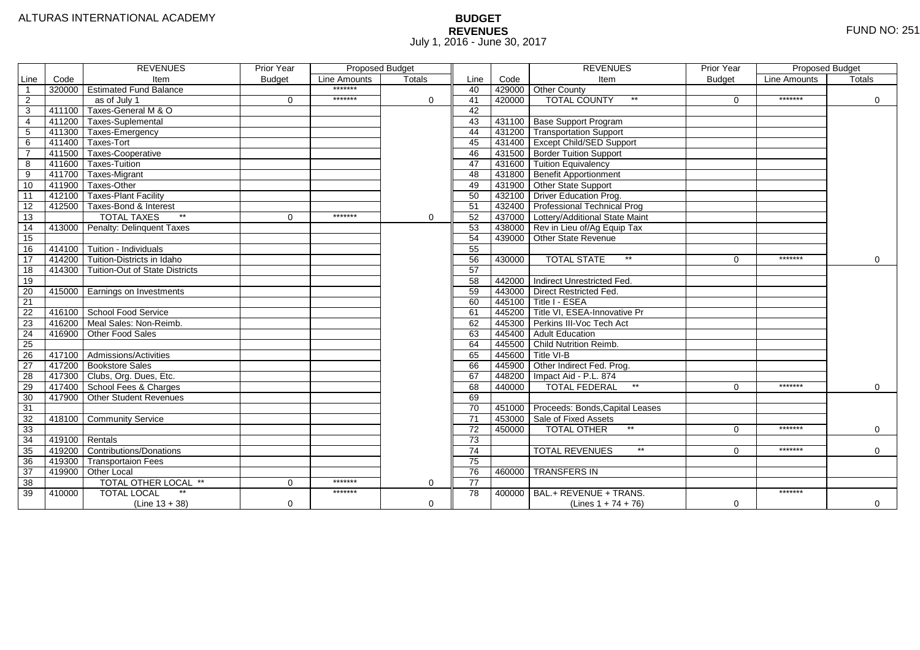# **BUDGET REVENUES** FUND NO: 251 July 1, 2016 - June 30, 2017

|                |                  | <b>REVENUES</b>                       | <b>Prior Year</b> | Proposed Budget<br>Line Amounts<br>Totals |              |                 |        | <b>REVENUES</b>                          | <b>Prior Year</b> | <b>Proposed Budget</b> |             |
|----------------|------------------|---------------------------------------|-------------------|-------------------------------------------|--------------|-----------------|--------|------------------------------------------|-------------------|------------------------|-------------|
| Line           | Code             | Item                                  | <b>Budget</b>     |                                           |              | Line            | Code   | Item                                     | <b>Budget</b>     | Line Amounts           | Totals      |
| $\overline{1}$ |                  | 320000 Estimated Fund Balance         |                   | *******                                   |              | 40              |        | 429000 Other County                      |                   |                        |             |
| 2              |                  | as of July 1                          | $\Omega$          | *******                                   | $\mathbf{0}$ | 41              | 420000 | <b>TOTAL COUNTY</b><br>$***$             | $\Omega$          | *******                | $\Omega$    |
| 3              | 411100           | Taxes-General M & O                   |                   |                                           |              | 42              |        |                                          |                   |                        |             |
| $\overline{4}$ | 411200           | Taxes-Suplemental                     |                   |                                           |              | $\overline{43}$ |        | 431100 Base Support Program              |                   |                        |             |
| 5              |                  | 411300 Taxes-Emergency                |                   |                                           |              | 44              |        | 431200 Transportation Support            |                   |                        |             |
| 6              |                  | 411400 Taxes-Tort                     |                   |                                           |              | 45              |        | 431400 Except Child/SED Support          |                   |                        |             |
| $\overline{7}$ |                  | 411500 Taxes-Cooperative              |                   |                                           |              | 46              |        | 431500 Border Tuition Support            |                   |                        |             |
| 8              | 411600           | Taxes-Tuition                         |                   |                                           |              | 47              |        | 431600 Tuition Equivalency               |                   |                        |             |
| 9              |                  | 411700 Taxes-Migrant                  |                   |                                           |              | 48              |        | 431800 Benefit Apportionment             |                   |                        |             |
| 10             | 411900           | Taxes-Other                           |                   |                                           |              | 49              |        | 431900 Other State Support               |                   |                        |             |
| 11             | 412100           | Taxes-Plant Facility                  |                   |                                           |              | 50              |        | 432100 Driver Education Prog.            |                   |                        |             |
| 12             | 412500           | Taxes-Bond & Interest                 |                   |                                           |              | 51              |        | 432400 Professional Technical Prog       |                   |                        |             |
| 13             |                  | $\ast\ast$<br><b>TOTAL TAXES</b>      | $\mathbf 0$       | *******                                   | 0            | 52              |        | 437000 Lottery/Additional State Maint    |                   |                        |             |
| 14             |                  | 413000 Penalty: Delinquent Taxes      |                   |                                           |              | 53              |        | 438000 Rev in Lieu of/Ag Equip Tax       |                   |                        |             |
| 15             |                  |                                       |                   |                                           |              | 54              |        | 439000 Other State Revenue               |                   |                        |             |
| 16             | 414100           | Tuition - Individuals                 |                   |                                           |              | 55              |        |                                          |                   |                        |             |
| 17             | 414200           | Tuition-Districts in Idaho            |                   |                                           |              | 56              | 430000 | <b>TOTAL STATE</b><br>$**$               | $\Omega$          | *******                | $\mathbf 0$ |
| 18             | 414300           | <b>Tuition-Out of State Districts</b> |                   |                                           |              | 57              |        |                                          |                   |                        |             |
| 19             |                  |                                       |                   |                                           |              | 58              |        | 442000 Indirect Unrestricted Fed.        |                   |                        |             |
| 20             |                  | 415000 Earnings on Investments        |                   |                                           |              | 59              |        | 443000 Direct Restricted Fed.            |                   |                        |             |
| 21             |                  |                                       |                   |                                           |              | 60              |        | $-445100$ Title I - ESEA                 |                   |                        |             |
| 22             |                  | 416100 School Food Service            |                   |                                           |              | 61              |        | 445200 Title VI, ESEA-Innovative Pr      |                   |                        |             |
| 23             |                  | 416200 Meal Sales: Non-Reimb.         |                   |                                           |              | 62              |        | 445300 Perkins III-Voc Tech Act          |                   |                        |             |
| 24             |                  | 416900 Other Food Sales               |                   |                                           |              | 63              |        | 445400 Adult Education                   |                   |                        |             |
| 25             |                  |                                       |                   |                                           |              | 64              |        | 445500 Child Nutrition Reimb.            |                   |                        |             |
| 26             |                  | 417100 Admissions/Activities          |                   |                                           |              | 65              |        | 445600 Title VI-B                        |                   |                        |             |
| 27             |                  | 417200 Bookstore Sales                |                   |                                           |              | 66              | 445900 | Other Indirect Fed. Prog.                |                   |                        |             |
| 28             |                  | 417300 Clubs, Org. Dues, Etc.         |                   |                                           |              | 67              | 448200 | Impact Aid - P.L. 874                    |                   |                        |             |
| 29             |                  | 417400 School Fees & Charges          |                   |                                           |              | 68              | 440000 | $\star\star$<br><b>TOTAL FEDERAL</b>     | $\Omega$          | *******                | $\mathbf 0$ |
| 30             | 417900           | <b>Other Student Revenues</b>         |                   |                                           |              | 69              |        |                                          |                   |                        |             |
| 31             |                  |                                       |                   |                                           |              | $\overline{70}$ |        | 451000 Proceeds: Bonds, Capital Leases   |                   |                        |             |
| 32             |                  | 418100 Community Service              |                   |                                           |              | $\overline{71}$ | 453000 | Sale of Fixed Assets                     |                   |                        |             |
| 33             |                  |                                       |                   |                                           |              | 72              | 450000 | $**$<br><b>TOTAL OTHER</b>               | $\Omega$          | *******                | $\mathbf 0$ |
| 34             | $419100$ Rentals |                                       |                   |                                           |              | 73              |        |                                          |                   |                        |             |
| 35             |                  | 419200 Contributions/Donations        |                   |                                           |              | 74              |        | $^{\star\star}$<br><b>TOTAL REVENUES</b> | 0                 | *******                | $\Omega$    |
| 36             | 419300           | <b>Transportaion Fees</b>             |                   |                                           |              | 75              |        |                                          |                   |                        |             |
| 37             |                  | 419900 Other Local                    |                   |                                           |              | 76              | 460000 | <b>TRANSFERS IN</b>                      |                   |                        |             |
| 38             |                  | TOTAL OTHER LOCAL **                  | $\mathbf 0$       | *******                                   | 0            | 77              |        |                                          |                   |                        |             |
| 39             | 410000           | $\star\star$<br><b>TOTAL LOCAL</b>    |                   | *******                                   |              | 78              |        | $400000$ BAL.+ REVENUE + TRANS.          |                   | *******                |             |
|                |                  | $(Line 13 + 38)$                      | $\mathbf 0$       |                                           | 0            |                 |        | (Lines $1 + 74 + 76$ )                   | $\Omega$          |                        | $\mathbf 0$ |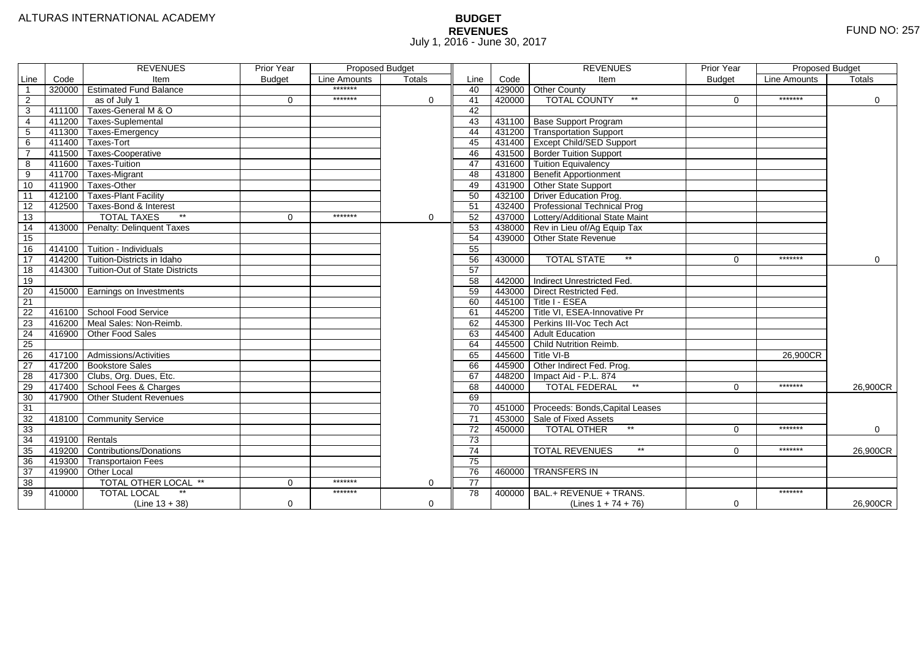# **BUDGET REVENUES** FUND NO: 257 July 1, 2016 - June 30, 2017

|                 |        | <b>REVENUES</b>                       | Prior Year    | <b>Proposed Budget</b> |          |                 |        | <b>REVENUES</b>                        | <b>Prior Year</b> | <b>Proposed Budget</b> |             |
|-----------------|--------|---------------------------------------|---------------|------------------------|----------|-----------------|--------|----------------------------------------|-------------------|------------------------|-------------|
| Line            | Code   | Item                                  | <b>Budget</b> | Line Amounts           | Totals   | Line            | Code   | Item                                   | <b>Budget</b>     | <b>Line Amounts</b>    | Totals      |
|                 | 320000 | <b>Estimated Fund Balance</b>         |               | *******                |          | 40              |        | 429000 Other County                    |                   |                        |             |
| 2               |        | as of July 1                          | $\Omega$      | *******                | $\Omega$ | 41              | 420000 | <b>TOTAL COUNTY</b><br>$***$           | $\Omega$          | *******                | $\Omega$    |
| 3               | 411100 | Taxes-General M & O                   |               |                        |          | 42              |        |                                        |                   |                        |             |
| 4               | 411200 | <b>Taxes-Suplemental</b>              |               |                        |          | 43              |        | 431100 Base Support Program            |                   |                        |             |
| 5               | 411300 | Taxes-Emergency                       |               |                        |          | 44              |        | 431200 Transportation Support          |                   |                        |             |
| 6               | 411400 | Taxes-Tort                            |               |                        |          | 45              |        | 431400 Except Child/SED Support        |                   |                        |             |
|                 | 411500 | Taxes Cooperative                     |               |                        |          | 46              |        | 431500 Border Tuition Support          |                   |                        |             |
| 8               | 411600 | Taxes-Tuition                         |               |                        |          | 47              |        | 431600 Tuition Equivalency             |                   |                        |             |
| 9               | 411700 | Taxes-Migrant                         |               |                        |          | 48              |        | 431800 Benefit Apportionment           |                   |                        |             |
| 10              | 411900 | Taxes-Other                           |               |                        |          | 49              |        | 431900 Other State Support             |                   |                        |             |
| 11              | 412100 | Taxes-Plant Facility                  |               |                        |          | 50              |        | 432100 Driver Education Prog.          |                   |                        |             |
| 12              | 412500 | Taxes-Bond & Interest                 |               |                        |          | 51              |        | 432400 Professional Technical Prog     |                   |                        |             |
| 13              |        | $*$<br><b>TOTAL TAXES</b>             | 0             | *******                | 0        | 52              |        | 437000 Lottery/Additional State Maint  |                   |                        |             |
| 14              | 413000 | Penalty: Delinquent Taxes             |               |                        |          | 53              |        | 438000 Rev in Lieu of/Ag Equip Tax     |                   |                        |             |
| 15              |        |                                       |               |                        |          | 54              |        | 439000 Other State Revenue             |                   |                        |             |
| 16              | 414100 | Tuition - Individuals                 |               |                        |          | 55              |        |                                        |                   |                        |             |
| $\overline{17}$ | 414200 | Tuition-Districts in Idaho            |               |                        |          | 56              | 430000 | $**$<br><b>TOTAL STATE</b>             | $\Omega$          | *******                | $\mathbf 0$ |
| 18              | 414300 | <b>Tuition-Out of State Districts</b> |               |                        |          | 57              |        |                                        |                   |                        |             |
| 19              |        |                                       |               |                        |          | 58              |        | 442000 Indirect Unrestricted Fed.      |                   |                        |             |
| 20              |        | 415000   Earnings on Investments      |               |                        |          | 59              |        | 443000 Direct Restricted Fed.          |                   |                        |             |
| 21              |        |                                       |               |                        |          | 60              |        | $445100$ Title I - ESEA                |                   |                        |             |
| 22              |        | 416100 School Food Service            |               |                        |          | 61              |        | 445200 Title VI, ESEA-Innovative Pr    |                   |                        |             |
| 23              | 416200 | Meal Sales: Non-Reimb.                |               |                        |          | 62              |        | 445300 Perkins III-Voc Tech Act        |                   |                        |             |
| 24              | 416900 | Other Food Sales                      |               |                        |          | 63              |        | 445400 Adult Education                 |                   |                        |             |
| 25              |        |                                       |               |                        |          | 64              |        | 445500 Child Nutrition Reimb.          |                   |                        |             |
| 26              |        | 417100 Admissions/Activities          |               |                        |          | 65              |        | 445600 Title VI-B                      |                   | 26,900CR               |             |
| $\overline{27}$ | 417200 | <b>Bookstore Sales</b>                |               |                        |          | 66              |        | 445900 Other Indirect Fed. Prog.       |                   |                        |             |
| 28              | 417300 | Clubs, Org. Dues, Etc.                |               |                        |          | 67              |        | 448200   Impact Aid - P.L. 874         |                   |                        |             |
| 29              | 417400 | School Fees & Charges                 |               |                        |          | 68              | 440000 | $\star\star$<br><b>TOTAL FEDERAL</b>   | $\Omega$          | *******                | 26,900CR    |
| 30              | 417900 | <b>Other Student Revenues</b>         |               |                        |          | 69              |        |                                        |                   |                        |             |
| $\overline{31}$ |        |                                       |               |                        |          | 70              |        | 451000 Proceeds: Bonds, Capital Leases |                   |                        |             |
| 32              | 418100 | Community Service                     |               |                        |          | $\overline{71}$ |        | 453000 Sale of Fixed Assets            |                   |                        |             |
| 33              |        |                                       |               |                        |          | 72              | 450000 | $**$<br><b>TOTAL OTHER</b>             | $\Omega$          | *******                | $\mathbf 0$ |
| 34              | 419100 | Rentals                               |               |                        |          | 73              |        |                                        |                   |                        |             |
| 35              | 419200 | Contributions/Donations               |               |                        |          | 74              |        | $***$<br><b>TOTAL REVENUES</b>         | 0                 | *******                | 26,900CR    |
| 36              | 419300 | <b>Transportaion Fees</b>             |               |                        |          | 75              |        |                                        |                   |                        |             |
| 37              | 419900 | Other Local                           |               |                        |          | 76              |        | 460000 TRANSFERS IN                    |                   |                        |             |
| 38              |        | TOTAL OTHER LOCAL **                  | 0             | *******                | 0        | 77              |        |                                        |                   |                        |             |
| 39              | 410000 | <b>TOTAL LOCAL</b><br>$^{\star\star}$ |               | *******                |          | 78              |        | 400000 BAL.+ REVENUE + TRANS.          |                   | *******                |             |
|                 |        | $(Line 13 + 38)$                      | 0             |                        | 0        |                 |        | (Lines $1 + 74 + 76$ )                 | $\Omega$          |                        | 26,900CR    |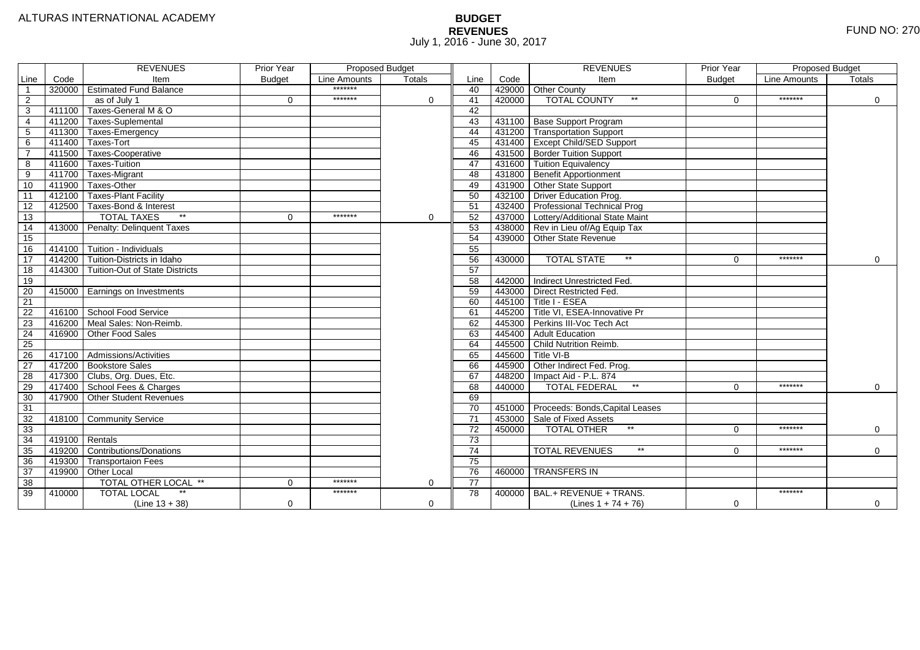# **BUDGET REVENUES** FUND NO: 270 July 1, 2016 - June 30, 2017

|                |                  | <b>REVENUES</b>                       | <b>Prior Year</b> | Proposed Budget<br>Line Amounts<br>Totals |              |                 |        | <b>REVENUES</b>                          | <b>Prior Year</b> | <b>Proposed Budget</b> |             |
|----------------|------------------|---------------------------------------|-------------------|-------------------------------------------|--------------|-----------------|--------|------------------------------------------|-------------------|------------------------|-------------|
| Line           | Code             | Item                                  | <b>Budget</b>     |                                           |              | Line            | Code   | Item                                     | <b>Budget</b>     | Line Amounts           | Totals      |
| $\overline{1}$ |                  | 320000 Estimated Fund Balance         |                   | *******                                   |              | 40              |        | 429000 Other County                      |                   |                        |             |
| 2              |                  | as of July 1                          | $\Omega$          | *******                                   | $\mathbf{0}$ | 41              | 420000 | <b>TOTAL COUNTY</b><br>$***$             | $\Omega$          | *******                | $\Omega$    |
| 3              | 411100           | Taxes-General M & O                   |                   |                                           |              | 42              |        |                                          |                   |                        |             |
| $\overline{4}$ | 411200           | Taxes-Suplemental                     |                   |                                           |              | $\overline{43}$ |        | 431100 Base Support Program              |                   |                        |             |
| 5              |                  | 411300 Taxes-Emergency                |                   |                                           |              | 44              |        | 431200 Transportation Support            |                   |                        |             |
| 6              |                  | 411400 Taxes-Tort                     |                   |                                           |              | 45              |        | 431400 Except Child/SED Support          |                   |                        |             |
| $\overline{7}$ |                  | 411500 Taxes-Cooperative              |                   |                                           |              | 46              |        | 431500 Border Tuition Support            |                   |                        |             |
| 8              | 411600           | Taxes-Tuition                         |                   |                                           |              | 47              |        | 431600 Tuition Equivalency               |                   |                        |             |
| 9              |                  | 411700 Taxes-Migrant                  |                   |                                           |              | 48              |        | 431800 Benefit Apportionment             |                   |                        |             |
| 10             | 411900           | Taxes-Other                           |                   |                                           |              | 49              |        | 431900 Other State Support               |                   |                        |             |
| 11             | 412100           | Taxes-Plant Facility                  |                   |                                           |              | 50              |        | 432100 Driver Education Prog.            |                   |                        |             |
| 12             | 412500           | Taxes-Bond & Interest                 |                   |                                           |              | 51              |        | 432400 Professional Technical Prog       |                   |                        |             |
| 13             |                  | $\ast\ast$<br><b>TOTAL TAXES</b>      | $\mathbf 0$       | *******                                   | 0            | 52              |        | 437000 Lottery/Additional State Maint    |                   |                        |             |
| 14             |                  | 413000 Penalty: Delinquent Taxes      |                   |                                           |              | 53              |        | 438000 Rev in Lieu of/Ag Equip Tax       |                   |                        |             |
| 15             |                  |                                       |                   |                                           |              | 54              |        | 439000 Other State Revenue               |                   |                        |             |
| 16             | 414100           | Tuition - Individuals                 |                   |                                           |              | 55              |        |                                          |                   |                        |             |
| 17             | 414200           | Tuition-Districts in Idaho            |                   |                                           |              | 56              | 430000 | <b>TOTAL STATE</b><br>$**$               | $\Omega$          | *******                | $\mathbf 0$ |
| 18             | 414300           | <b>Tuition-Out of State Districts</b> |                   |                                           |              | 57              |        |                                          |                   |                        |             |
| 19             |                  |                                       |                   |                                           |              | 58              |        | 442000 Indirect Unrestricted Fed.        |                   |                        |             |
| 20             |                  | 415000 Earnings on Investments        |                   |                                           |              | 59              |        | 443000 Direct Restricted Fed.            |                   |                        |             |
| 21             |                  |                                       |                   |                                           |              | 60              |        | $-445100$ Title I - ESEA                 |                   |                        |             |
| 22             |                  | 416100 School Food Service            |                   |                                           |              | 61              |        | 445200 Title VI, ESEA-Innovative Pr      |                   |                        |             |
| 23             |                  | 416200 Meal Sales: Non-Reimb.         |                   |                                           |              | 62              |        | 445300 Perkins III-Voc Tech Act          |                   |                        |             |
| 24             |                  | 416900 Other Food Sales               |                   |                                           |              | 63              |        | 445400 Adult Education                   |                   |                        |             |
| 25             |                  |                                       |                   |                                           |              | 64              |        | 445500 Child Nutrition Reimb.            |                   |                        |             |
| 26             |                  | 417100 Admissions/Activities          |                   |                                           |              | 65              |        | 445600 Title VI-B                        |                   |                        |             |
| 27             |                  | 417200 Bookstore Sales                |                   |                                           |              | 66              | 445900 | Other Indirect Fed. Prog.                |                   |                        |             |
| 28             |                  | 417300 Clubs, Org. Dues, Etc.         |                   |                                           |              | 67              | 448200 | Impact Aid - P.L. 874                    |                   |                        |             |
| 29             |                  | 417400 School Fees & Charges          |                   |                                           |              | 68              | 440000 | $\star\star$<br><b>TOTAL FEDERAL</b>     | $\Omega$          | *******                | $\mathbf 0$ |
| 30             | 417900           | <b>Other Student Revenues</b>         |                   |                                           |              | 69              |        |                                          |                   |                        |             |
| 31             |                  |                                       |                   |                                           |              | $\overline{70}$ |        | 451000 Proceeds: Bonds, Capital Leases   |                   |                        |             |
| 32             |                  | 418100 Community Service              |                   |                                           |              | $\overline{71}$ | 453000 | Sale of Fixed Assets                     |                   |                        |             |
| 33             |                  |                                       |                   |                                           |              | 72              | 450000 | $**$<br><b>TOTAL OTHER</b>               | $\Omega$          | *******                | $\mathbf 0$ |
| 34             | $419100$ Rentals |                                       |                   |                                           |              | 73              |        |                                          |                   |                        |             |
| 35             |                  | 419200 Contributions/Donations        |                   |                                           |              | 74              |        | $^{\star\star}$<br><b>TOTAL REVENUES</b> | 0                 | *******                | $\Omega$    |
| 36             | 419300           | <b>Transportaion Fees</b>             |                   |                                           |              | 75              |        |                                          |                   |                        |             |
| 37             |                  | 419900 Other Local                    |                   |                                           |              | 76              | 460000 | <b>TRANSFERS IN</b>                      |                   |                        |             |
| 38             |                  | TOTAL OTHER LOCAL **                  | $\mathbf 0$       | *******                                   | 0            | 77              |        |                                          |                   |                        |             |
| 39             | 410000           | $\star\star$<br><b>TOTAL LOCAL</b>    |                   | *******                                   |              | 78              |        | $400000$ BAL.+ REVENUE + TRANS.          |                   | *******                |             |
|                |                  | $(Line 13 + 38)$                      | $\mathbf 0$       |                                           | 0            |                 |        | (Lines $1 + 74 + 76$ )                   | $\Omega$          |                        | $\mathbf 0$ |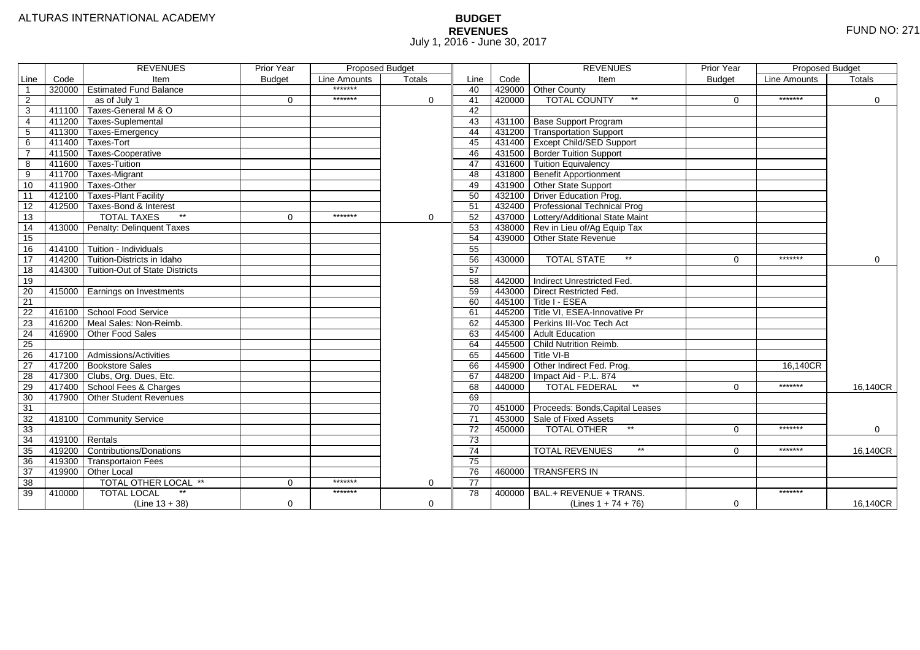# **BUDGET REVENUES** FUND NO: 271 July 1, 2016 - June 30, 2017

|                         |        | <b>REVENUES</b>                         | <b>Prior Year</b> | Proposed Budget |               |                 |        | <b>REVENUES</b>                        | <b>Prior Year</b> | Proposed Budget |             |
|-------------------------|--------|-----------------------------------------|-------------------|-----------------|---------------|-----------------|--------|----------------------------------------|-------------------|-----------------|-------------|
| Line                    | Code   | Item                                    | <b>Budget</b>     | Line Amounts    | <b>Totals</b> | Line            | Code   | Item                                   | <b>Budget</b>     | Line Amounts    | Totals      |
| $\overline{\mathbf{1}}$ |        | 320000 Estimated Fund Balance           |                   | *******         |               | 40              | 429000 | <b>Other County</b>                    |                   |                 |             |
| 2                       |        | as of July 1                            | $\Omega$          | *******         | $\mathbf 0$   | 41              | 420000 | $^{\star\star}$<br><b>TOTAL COUNTY</b> | $\Omega$          | *******         | $\Omega$    |
| $\overline{3}$          |        | 411100 Taxes-General M & O              |                   |                 |               | 42              |        |                                        |                   |                 |             |
| $\overline{4}$          |        | 411200 Taxes-Suplemental                |                   |                 |               | 43              | 431100 | Base Support Program                   |                   |                 |             |
| $\overline{5}$          |        | 411300 Taxes-Emergency                  |                   |                 |               | 44              | 431200 | <b>Transportation Support</b>          |                   |                 |             |
| 6                       |        | 411400 Taxes-Tort                       |                   |                 |               | 45              |        | 431400 Except Child/SED Support        |                   |                 |             |
| $\overline{7}$          |        | 411500 Taxes-Cooperative                |                   |                 |               | 46              |        | 431500 Border Tuition Support          |                   |                 |             |
| 8                       |        | 411600 Taxes-Tuition                    |                   |                 |               | 47              |        | 431600 Tuition Equivalency             |                   |                 |             |
| $\overline{9}$          |        | 411700 Taxes-Migrant                    |                   |                 |               | 48              | 431800 | Benefit Apportionment                  |                   |                 |             |
| 10                      |        | 411900 Taxes-Other                      |                   |                 |               | 49              |        | 431900 Other State Support             |                   |                 |             |
| $\overline{11}$         |        | 412100 Taxes-Plant Facility             |                   |                 |               | 50              |        | 432100 Driver Education Prog.          |                   |                 |             |
| 12                      |        | 412500 Taxes-Bond & Interest            |                   |                 |               | 51              |        | 432400 Professional Technical Prog     |                   |                 |             |
| 13                      |        | $\star\star$<br><b>TOTAL TAXES</b>      | $\mathbf 0$       | *******         | 0             | 52              | 437000 | Lottery/Additional State Maint         |                   |                 |             |
| 14                      |        | 413000 Penalty: Delinquent Taxes        |                   |                 |               | 53              |        | 438000 Rev in Lieu of/Ag Equip Tax     |                   |                 |             |
| 15                      |        |                                         |                   |                 |               | 54              | 439000 | Other State Revenue                    |                   |                 |             |
| 16                      |        | 414100 Tuition - Individuals            |                   |                 |               | 55              |        |                                        |                   |                 |             |
| $\overline{17}$         |        | 414200 Tuition-Districts in Idaho       |                   |                 |               | 56              | 430000 | $^{\star\star}$<br><b>TOTAL STATE</b>  | $\Omega$          | *******         | $\mathbf 0$ |
| 18                      |        | 414300   Tuition-Out of State Districts |                   |                 |               | 57              |        |                                        |                   |                 |             |
| 19                      |        |                                         |                   |                 |               | 58              | 442000 | Indirect Unrestricted Fed.             |                   |                 |             |
| 20                      |        | 415000 Earnings on Investments          |                   |                 |               | 59              |        | 443000 Direct Restricted Fed.          |                   |                 |             |
| 21                      |        |                                         |                   |                 |               | 60              | 445100 | Title I - ESEA                         |                   |                 |             |
| $\overline{22}$         |        | 416100 School Food Service              |                   |                 |               | 61              | 445200 | Title VI, ESEA-Innovative Pr           |                   |                 |             |
| 23                      |        | 416200 Meal Sales: Non-Reimb.           |                   |                 |               | 62              |        | 445300 Perkins III-Voc Tech Act        |                   |                 |             |
| $\overline{24}$         | 416900 | Other Food Sales                        |                   |                 |               | 63              | 445400 | Adult Education                        |                   |                 |             |
| $\overline{25}$         |        |                                         |                   |                 |               | 64              | 445500 | Child Nutrition Reimb.                 |                   |                 |             |
| 26                      |        | 417100   Admissions/Activities          |                   |                 |               | 65              | 445600 | Title VI-B                             |                   |                 |             |
| $\overline{27}$         |        | 417200 Bookstore Sales                  |                   |                 |               | 66              | 445900 | Other Indirect Fed. Prog.              |                   | 16.140CR        |             |
| $\overline{28}$         |        | 417300 Clubs, Org. Dues, Etc.           |                   |                 |               | 67              | 448200 | Impact Aid - P.L. 874                  |                   |                 |             |
| 29                      |        | 417400 School Fees & Charges            |                   |                 |               | 68              | 440000 | $\star\star$<br><b>TOTAL FEDERAL</b>   | $\Omega$          | *******         | 16.140CR    |
| 30                      | 417900 | <b>Other Student Revenues</b>           |                   |                 |               | 69              |        |                                        |                   |                 |             |
| 31                      |        |                                         |                   |                 |               | 70              | 451000 | Proceeds: Bonds, Capital Leases        |                   |                 |             |
| 32                      | 418100 | <b>Community Service</b>                |                   |                 |               | $\overline{71}$ | 453000 | Sale of Fixed Assets                   |                   |                 |             |
| 33                      |        |                                         |                   |                 |               | 72              | 450000 | $*$<br><b>TOTAL OTHER</b>              | $\Omega$          | *******         | $\mathbf 0$ |
| 34                      |        | $419100$ Rentals                        |                   |                 |               | 73              |        |                                        |                   |                 |             |
| 35                      |        | 419200 Contributions/Donations          |                   |                 |               | 74              |        | $***$<br><b>TOTAL REVENUES</b>         | $\Omega$          | *******         | 16,140CR    |
| $\overline{36}$         | 419300 | <b>Transportaion Fees</b>               |                   |                 |               | 75              |        |                                        |                   |                 |             |
| 37                      | 419900 | Other Local                             |                   |                 |               | 76              | 460000 | <b>TRANSFERS IN</b>                    |                   |                 |             |
| 38                      |        | TOTAL OTHER LOCAL **                    | $\mathbf 0$       | *******         | $\Omega$      | 77              |        |                                        |                   |                 |             |
| 39                      | 410000 | <b>TOTAL LOCAL</b>                      |                   | *******         |               | 78              | 400000 | BAL.+ REVENUE + TRANS.                 |                   | *******         |             |
|                         |        | $(Line 13 + 38)$                        | $\mathbf 0$       |                 | $\Omega$      |                 |        | (Lines $1 + 74 + 76$ )                 | $\mathbf 0$       |                 | 16,140CR    |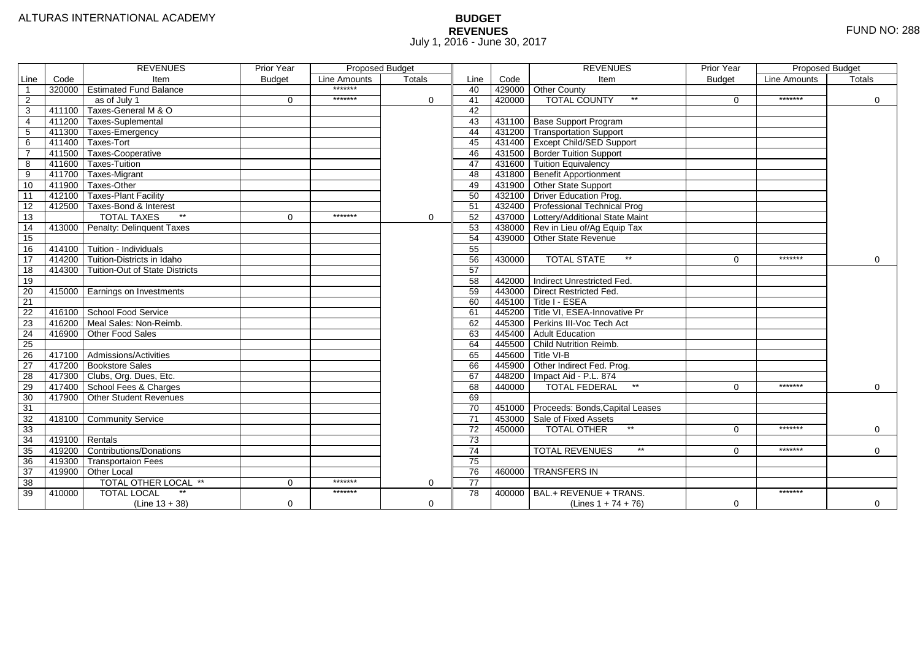# **BUDGET REVENUES** FUND NO: 288 July 1, 2016 - June 30, 2017

|                |                  | <b>REVENUES</b>                       | <b>Prior Year</b> | Proposed Budget<br>Line Amounts<br>Totals |   |                 |        | <b>REVENUES</b>                          | <b>Prior Year</b> | <b>Proposed Budget</b> |             |
|----------------|------------------|---------------------------------------|-------------------|-------------------------------------------|---|-----------------|--------|------------------------------------------|-------------------|------------------------|-------------|
| Line           | Code             | Item                                  | <b>Budget</b>     |                                           |   | Line            | Code   | Item                                     | <b>Budget</b>     | Line Amounts           | Totals      |
| $\overline{1}$ |                  | 320000 Estimated Fund Balance         |                   | *******                                   |   | 40              |        | 429000 Other County                      |                   |                        |             |
| 2              |                  | as of July 1                          | $\Omega$          | *******                                   | 0 | 41              | 420000 | <b>TOTAL COUNTY</b><br>$***$             | $\Omega$          | *******                | $\Omega$    |
| 3              | 411100           | Taxes-General M & O                   |                   |                                           |   | 42              |        |                                          |                   |                        |             |
| $\overline{4}$ | 411200           | Taxes-Suplemental                     |                   |                                           |   | $\overline{43}$ |        | 431100 Base Support Program              |                   |                        |             |
| 5              |                  | 411300 Taxes-Emergency                |                   |                                           |   | 44              |        | 431200 Transportation Support            |                   |                        |             |
| 6              |                  | 411400 Taxes-Tort                     |                   |                                           |   | 45              |        | 431400 Except Child/SED Support          |                   |                        |             |
| $\overline{7}$ |                  | 411500 Taxes-Cooperative              |                   |                                           |   | 46              |        | 431500 Border Tuition Support            |                   |                        |             |
| 8              | 411600           | Taxes-Tuition                         |                   |                                           |   | 47              |        | 431600 Tuition Equivalency               |                   |                        |             |
| 9              |                  | 411700 Taxes-Migrant                  |                   |                                           |   | 48              |        | 431800 Benefit Apportionment             |                   |                        |             |
| 10             | 411900           | Taxes-Other                           |                   |                                           |   | 49              |        | 431900 Other State Support               |                   |                        |             |
| 11             | 412100           | Taxes-Plant Facility                  |                   |                                           |   | 50              |        | 432100 Driver Education Prog.            |                   |                        |             |
| 12             | 412500           | Taxes-Bond & Interest                 |                   |                                           |   | 51              |        | 432400 Professional Technical Prog       |                   |                        |             |
| 13             |                  | $\ast\ast$<br><b>TOTAL TAXES</b>      | $\mathbf 0$       | *******                                   | 0 | 52              |        | 437000 Lottery/Additional State Maint    |                   |                        |             |
| 14             |                  | 413000 Penalty: Delinquent Taxes      |                   |                                           |   | 53              |        | 438000 Rev in Lieu of/Ag Equip Tax       |                   |                        |             |
| 15             |                  |                                       |                   |                                           |   | 54              |        | 439000 Other State Revenue               |                   |                        |             |
| 16             | 414100           | Tuition - Individuals                 |                   |                                           |   | 55              |        |                                          |                   |                        |             |
| 17             | 414200           | Tuition-Districts in Idaho            |                   |                                           |   | 56              | 430000 | <b>TOTAL STATE</b><br>$**$               | $\Omega$          | *******                | $\mathbf 0$ |
| 18             | 414300           | <b>Tuition-Out of State Districts</b> |                   |                                           |   | 57              |        |                                          |                   |                        |             |
| 19             |                  |                                       |                   |                                           |   | 58              |        | 442000 Indirect Unrestricted Fed.        |                   |                        |             |
| 20             |                  | 415000 Earnings on Investments        |                   |                                           |   | 59              |        | 443000 Direct Restricted Fed.            |                   |                        |             |
| 21             |                  |                                       |                   |                                           |   | 60              |        | $-445100$ Title I - ESEA                 |                   |                        |             |
| 22             |                  | 416100 School Food Service            |                   |                                           |   | 61              |        | 445200 Title VI, ESEA-Innovative Pr      |                   |                        |             |
| 23             |                  | 416200 Meal Sales: Non-Reimb.         |                   |                                           |   | 62              |        | 445300 Perkins III-Voc Tech Act          |                   |                        |             |
| 24             |                  | 416900 Other Food Sales               |                   |                                           |   | 63              |        | 445400 Adult Education                   |                   |                        |             |
| 25             |                  |                                       |                   |                                           |   | 64              |        | 445500 Child Nutrition Reimb.            |                   |                        |             |
| 26             |                  | 417100 Admissions/Activities          |                   |                                           |   | 65              |        | 445600 Title VI-B                        |                   |                        |             |
| 27             |                  | 417200 Bookstore Sales                |                   |                                           |   | 66              | 445900 | Other Indirect Fed. Prog.                |                   |                        |             |
| 28             |                  | 417300 Clubs, Org. Dues, Etc.         |                   |                                           |   | 67              | 448200 | Impact Aid - P.L. 874                    |                   |                        |             |
| 29             |                  | 417400 School Fees & Charges          |                   |                                           |   | 68              | 440000 | $\star\star$<br><b>TOTAL FEDERAL</b>     | $\Omega$          | *******                | $\mathbf 0$ |
| 30             | 417900           | <b>Other Student Revenues</b>         |                   |                                           |   | 69              |        |                                          |                   |                        |             |
| 31             |                  |                                       |                   |                                           |   | $\overline{70}$ |        | 451000 Proceeds: Bonds, Capital Leases   |                   |                        |             |
| 32             |                  | 418100 Community Service              |                   |                                           |   | $\overline{71}$ | 453000 | Sale of Fixed Assets                     |                   |                        |             |
| 33             |                  |                                       |                   |                                           |   | 72              | 450000 | $**$<br><b>TOTAL OTHER</b>               | $\Omega$          | *******                | $\mathbf 0$ |
| 34             | $419100$ Rentals |                                       |                   |                                           |   | 73              |        |                                          |                   |                        |             |
| 35             |                  | 419200 Contributions/Donations        |                   |                                           |   | 74              |        | $^{\star\star}$<br><b>TOTAL REVENUES</b> | 0                 | *******                | $\Omega$    |
| 36             | 419300           | <b>Transportaion Fees</b>             |                   |                                           |   | 75              |        |                                          |                   |                        |             |
| 37             |                  | 419900 Other Local                    |                   |                                           |   | 76              | 460000 | <b>TRANSFERS IN</b>                      |                   |                        |             |
| 38             |                  | TOTAL OTHER LOCAL **                  | $\mathbf 0$       | *******                                   | 0 | 77              |        |                                          |                   |                        |             |
| 39             | 410000           | $\star\star$<br><b>TOTAL LOCAL</b>    |                   | *******                                   |   | 78              |        | $400000$ BAL.+ REVENUE + TRANS.          |                   | *******                |             |
|                |                  | $(Line 13 + 38)$                      | $\mathbf 0$       |                                           | 0 |                 |        | (Lines $1 + 74 + 76$ )                   | $\Omega$          |                        | $\mathbf 0$ |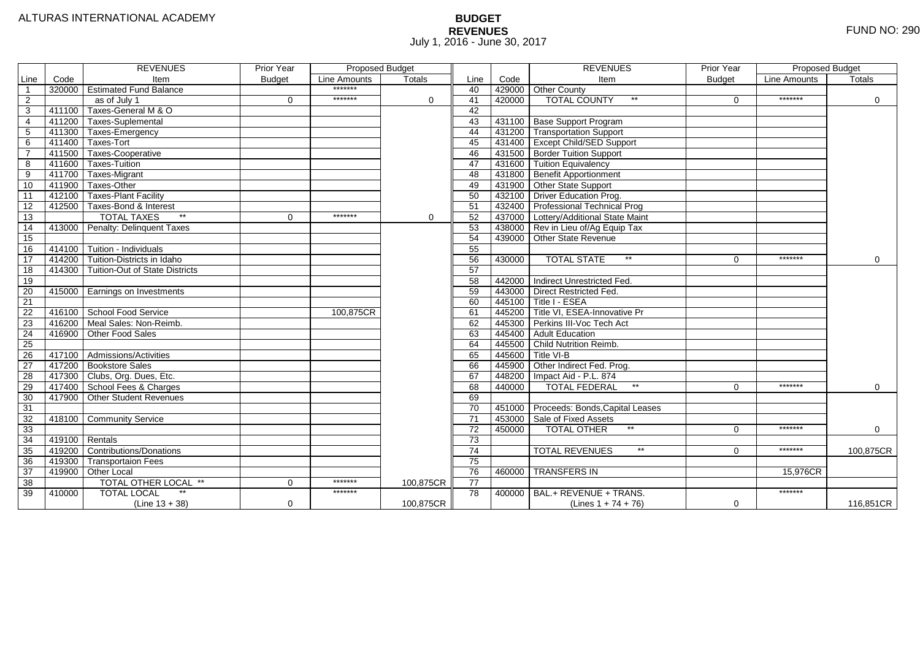# **BUDGET REVENUES** FUND NO: 290 July 1, 2016 - June 30, 2017

| Code<br>Line<br>Code<br>Item<br><b>Budget</b><br>Line Amounts<br><b>Totals</b><br>Line<br><b>Budget</b><br>Line Amounts<br>Item<br>Totals<br>*******<br>$\overline{1}$<br>320000   Estimated Fund Balance<br>429000 Other County<br>40<br>*******<br>$\overline{2}$<br>*******<br><b>TOTAL COUNTY</b><br>$\star\star$<br>41<br>420000<br>as of July 1<br>$\Omega$<br>$\mathbf 0$<br>$\Omega$<br>$\Omega$<br>$\overline{\overline{3}}$<br>411100 Taxes-General M & O<br>42<br>431100 Base Support Program<br>$\overline{4}$<br>411200 Taxes-Suplemental<br>43<br>$\overline{5}$<br>44<br>411300 Taxes-Emergency<br>431200 Transportation Support<br>411400 Taxes-Tort<br>45<br>431400 Except Child/SED Support<br>6<br>$\overline{7}$<br>411500 Taxes-Cooperative<br>431500 Border Tuition Support<br>46<br>47<br>431600 Tuition Equivalency<br>8<br>411600 Taxes-Tuition<br>$\overline{9}$<br>411700 Taxes-Migrant<br>48<br>431800 Benefit Apportionment<br>10<br>411900 Taxes-Other<br>49<br>431900 Other State Support<br>11<br>412100 Taxes-Plant Facility<br>50<br>432100 Driver Education Prog.<br>432400 Professional Technical Prog<br>$\overline{12}$<br>412500 Taxes-Bond & Interest<br>51<br>13<br>$*$<br>52<br><b>TOTAL TAXES</b><br>*******<br>437000<br>Lottery/Additional State Maint<br>$\Omega$<br>0<br>413000 Penalty: Delinquent Taxes<br>53<br>438000 Rev in Lieu of/Ag Equip Tax<br>14<br>15<br>54<br>439000<br>Other State Revenue<br>55<br>414100 Tuition - Individuals<br>16<br>$\overline{17}$<br>*******<br>414200 Tuition-Districts in Idaho<br>56<br>$**$<br>430000<br><b>TOTAL STATE</b><br>$\mathbf 0$<br>$\Omega$<br>$\overline{57}$<br>18<br>414300 Tuition-Out of State Districts<br>19<br>Indirect Unrestricted Fed.<br>58<br>442000<br>443000 Direct Restricted Fed.<br>20<br>59<br>415000 Earnings on Investments<br>$\overline{21}$<br>60<br>Title I - ESEA<br>445100<br>416100 School Food Service<br>22<br>61<br>445200 Title VI, ESEA-Innovative Pr<br>100,875CR<br>23<br>416200 Meal Sales: Non-Reimb.<br>445300 Perkins III-Voc Tech Act<br>62<br>$\overline{24}$<br>Adult Education<br>416900 Other Food Sales<br>63<br>445400<br>25<br>64<br>445500<br>Child Nutrition Reimb.<br>26<br>65<br>445600<br>Title VI-B<br>417100 Admissions/Activities<br>27<br>417200 Bookstore Sales<br>66<br>445900<br>Other Indirect Fed. Prog.<br>$\overline{28}$<br>67<br>417300 Clubs, Org. Dues, Etc.<br>448200<br>Impact Aid - P.L. 874<br>29<br>$\star\star$<br>*******<br>417400 School Fees & Charges<br>68<br>440000<br><b>TOTAL FEDERAL</b><br>$\mathbf 0$<br>$\Omega$<br>30<br>69<br>417900<br><b>Other Student Revenues</b><br>31<br>70<br>451000<br>Proceeds: Bonds, Capital Leases<br>$\overline{71}$<br>32<br>Community Service<br>453000<br>Sale of Fixed Assets<br>418100<br>33<br>72<br>*******<br>450000<br>$*$<br><b>TOTAL OTHER</b><br>$\Omega$<br>$\mathbf 0$<br>34<br>73<br>419100 Rentals<br>35<br>419200 Contributions/Donations<br>$^{\star\star}$<br>*******<br>$\overline{74}$<br><b>TOTAL REVENUES</b><br>$\Omega$<br>75<br>$\overline{36}$<br>419300<br><b>Transportaion Fees</b><br>37<br><b>TRANSFERS IN</b><br>419900<br>Other Local<br>76<br>15,976CR<br>460000<br>$\overline{38}$<br>*******<br>$\overline{77}$<br>TOTAL OTHER LOCAL **<br>$\mathbf 0$<br>100,875CR<br>39<br>*******<br>*******<br><b>TOTAL LOCAL</b><br>78<br>BAL.+ REVENUE + TRANS.<br>410000<br>400000<br>$\mathbf 0$<br>100.875CR<br>$\mathbf 0$ |  | <b>REVENUES</b>  | <b>Prior Year</b> | <b>Proposed Budget</b> |  |  | <b>REVENUES</b>        | <b>Prior Year</b> | Proposed Budget |           |
|-----------------------------------------------------------------------------------------------------------------------------------------------------------------------------------------------------------------------------------------------------------------------------------------------------------------------------------------------------------------------------------------------------------------------------------------------------------------------------------------------------------------------------------------------------------------------------------------------------------------------------------------------------------------------------------------------------------------------------------------------------------------------------------------------------------------------------------------------------------------------------------------------------------------------------------------------------------------------------------------------------------------------------------------------------------------------------------------------------------------------------------------------------------------------------------------------------------------------------------------------------------------------------------------------------------------------------------------------------------------------------------------------------------------------------------------------------------------------------------------------------------------------------------------------------------------------------------------------------------------------------------------------------------------------------------------------------------------------------------------------------------------------------------------------------------------------------------------------------------------------------------------------------------------------------------------------------------------------------------------------------------------------------------------------------------------------------------------------------------------------------------------------------------------------------------------------------------------------------------------------------------------------------------------------------------------------------------------------------------------------------------------------------------------------------------------------------------------------------------------------------------------------------------------------------------------------------------------------------------------------------------------------------------------------------------------------------------------------------------------------------------------------------------------------------------------------------------------------------------------------------------------------------------------------------------------------------------------------------------------------------------------------------------------------------------------------------------------------------------------------------------------------------------------------------------------------------------------------------------------------------------------------------------------------------------------------------------------------------------------------------------------------------------------------------------------------------------------------------------|--|------------------|-------------------|------------------------|--|--|------------------------|-------------------|-----------------|-----------|
|                                                                                                                                                                                                                                                                                                                                                                                                                                                                                                                                                                                                                                                                                                                                                                                                                                                                                                                                                                                                                                                                                                                                                                                                                                                                                                                                                                                                                                                                                                                                                                                                                                                                                                                                                                                                                                                                                                                                                                                                                                                                                                                                                                                                                                                                                                                                                                                                                                                                                                                                                                                                                                                                                                                                                                                                                                                                                                                                                                                                                                                                                                                                                                                                                                                                                                                                                                                                                                                                                   |  |                  |                   |                        |  |  |                        |                   |                 |           |
|                                                                                                                                                                                                                                                                                                                                                                                                                                                                                                                                                                                                                                                                                                                                                                                                                                                                                                                                                                                                                                                                                                                                                                                                                                                                                                                                                                                                                                                                                                                                                                                                                                                                                                                                                                                                                                                                                                                                                                                                                                                                                                                                                                                                                                                                                                                                                                                                                                                                                                                                                                                                                                                                                                                                                                                                                                                                                                                                                                                                                                                                                                                                                                                                                                                                                                                                                                                                                                                                                   |  |                  |                   |                        |  |  |                        |                   |                 |           |
|                                                                                                                                                                                                                                                                                                                                                                                                                                                                                                                                                                                                                                                                                                                                                                                                                                                                                                                                                                                                                                                                                                                                                                                                                                                                                                                                                                                                                                                                                                                                                                                                                                                                                                                                                                                                                                                                                                                                                                                                                                                                                                                                                                                                                                                                                                                                                                                                                                                                                                                                                                                                                                                                                                                                                                                                                                                                                                                                                                                                                                                                                                                                                                                                                                                                                                                                                                                                                                                                                   |  |                  |                   |                        |  |  |                        |                   |                 |           |
|                                                                                                                                                                                                                                                                                                                                                                                                                                                                                                                                                                                                                                                                                                                                                                                                                                                                                                                                                                                                                                                                                                                                                                                                                                                                                                                                                                                                                                                                                                                                                                                                                                                                                                                                                                                                                                                                                                                                                                                                                                                                                                                                                                                                                                                                                                                                                                                                                                                                                                                                                                                                                                                                                                                                                                                                                                                                                                                                                                                                                                                                                                                                                                                                                                                                                                                                                                                                                                                                                   |  |                  |                   |                        |  |  |                        |                   |                 |           |
|                                                                                                                                                                                                                                                                                                                                                                                                                                                                                                                                                                                                                                                                                                                                                                                                                                                                                                                                                                                                                                                                                                                                                                                                                                                                                                                                                                                                                                                                                                                                                                                                                                                                                                                                                                                                                                                                                                                                                                                                                                                                                                                                                                                                                                                                                                                                                                                                                                                                                                                                                                                                                                                                                                                                                                                                                                                                                                                                                                                                                                                                                                                                                                                                                                                                                                                                                                                                                                                                                   |  |                  |                   |                        |  |  |                        |                   |                 |           |
|                                                                                                                                                                                                                                                                                                                                                                                                                                                                                                                                                                                                                                                                                                                                                                                                                                                                                                                                                                                                                                                                                                                                                                                                                                                                                                                                                                                                                                                                                                                                                                                                                                                                                                                                                                                                                                                                                                                                                                                                                                                                                                                                                                                                                                                                                                                                                                                                                                                                                                                                                                                                                                                                                                                                                                                                                                                                                                                                                                                                                                                                                                                                                                                                                                                                                                                                                                                                                                                                                   |  |                  |                   |                        |  |  |                        |                   |                 |           |
|                                                                                                                                                                                                                                                                                                                                                                                                                                                                                                                                                                                                                                                                                                                                                                                                                                                                                                                                                                                                                                                                                                                                                                                                                                                                                                                                                                                                                                                                                                                                                                                                                                                                                                                                                                                                                                                                                                                                                                                                                                                                                                                                                                                                                                                                                                                                                                                                                                                                                                                                                                                                                                                                                                                                                                                                                                                                                                                                                                                                                                                                                                                                                                                                                                                                                                                                                                                                                                                                                   |  |                  |                   |                        |  |  |                        |                   |                 |           |
|                                                                                                                                                                                                                                                                                                                                                                                                                                                                                                                                                                                                                                                                                                                                                                                                                                                                                                                                                                                                                                                                                                                                                                                                                                                                                                                                                                                                                                                                                                                                                                                                                                                                                                                                                                                                                                                                                                                                                                                                                                                                                                                                                                                                                                                                                                                                                                                                                                                                                                                                                                                                                                                                                                                                                                                                                                                                                                                                                                                                                                                                                                                                                                                                                                                                                                                                                                                                                                                                                   |  |                  |                   |                        |  |  |                        |                   |                 |           |
|                                                                                                                                                                                                                                                                                                                                                                                                                                                                                                                                                                                                                                                                                                                                                                                                                                                                                                                                                                                                                                                                                                                                                                                                                                                                                                                                                                                                                                                                                                                                                                                                                                                                                                                                                                                                                                                                                                                                                                                                                                                                                                                                                                                                                                                                                                                                                                                                                                                                                                                                                                                                                                                                                                                                                                                                                                                                                                                                                                                                                                                                                                                                                                                                                                                                                                                                                                                                                                                                                   |  |                  |                   |                        |  |  |                        |                   |                 |           |
|                                                                                                                                                                                                                                                                                                                                                                                                                                                                                                                                                                                                                                                                                                                                                                                                                                                                                                                                                                                                                                                                                                                                                                                                                                                                                                                                                                                                                                                                                                                                                                                                                                                                                                                                                                                                                                                                                                                                                                                                                                                                                                                                                                                                                                                                                                                                                                                                                                                                                                                                                                                                                                                                                                                                                                                                                                                                                                                                                                                                                                                                                                                                                                                                                                                                                                                                                                                                                                                                                   |  |                  |                   |                        |  |  |                        |                   |                 |           |
|                                                                                                                                                                                                                                                                                                                                                                                                                                                                                                                                                                                                                                                                                                                                                                                                                                                                                                                                                                                                                                                                                                                                                                                                                                                                                                                                                                                                                                                                                                                                                                                                                                                                                                                                                                                                                                                                                                                                                                                                                                                                                                                                                                                                                                                                                                                                                                                                                                                                                                                                                                                                                                                                                                                                                                                                                                                                                                                                                                                                                                                                                                                                                                                                                                                                                                                                                                                                                                                                                   |  |                  |                   |                        |  |  |                        |                   |                 |           |
|                                                                                                                                                                                                                                                                                                                                                                                                                                                                                                                                                                                                                                                                                                                                                                                                                                                                                                                                                                                                                                                                                                                                                                                                                                                                                                                                                                                                                                                                                                                                                                                                                                                                                                                                                                                                                                                                                                                                                                                                                                                                                                                                                                                                                                                                                                                                                                                                                                                                                                                                                                                                                                                                                                                                                                                                                                                                                                                                                                                                                                                                                                                                                                                                                                                                                                                                                                                                                                                                                   |  |                  |                   |                        |  |  |                        |                   |                 |           |
|                                                                                                                                                                                                                                                                                                                                                                                                                                                                                                                                                                                                                                                                                                                                                                                                                                                                                                                                                                                                                                                                                                                                                                                                                                                                                                                                                                                                                                                                                                                                                                                                                                                                                                                                                                                                                                                                                                                                                                                                                                                                                                                                                                                                                                                                                                                                                                                                                                                                                                                                                                                                                                                                                                                                                                                                                                                                                                                                                                                                                                                                                                                                                                                                                                                                                                                                                                                                                                                                                   |  |                  |                   |                        |  |  |                        |                   |                 |           |
|                                                                                                                                                                                                                                                                                                                                                                                                                                                                                                                                                                                                                                                                                                                                                                                                                                                                                                                                                                                                                                                                                                                                                                                                                                                                                                                                                                                                                                                                                                                                                                                                                                                                                                                                                                                                                                                                                                                                                                                                                                                                                                                                                                                                                                                                                                                                                                                                                                                                                                                                                                                                                                                                                                                                                                                                                                                                                                                                                                                                                                                                                                                                                                                                                                                                                                                                                                                                                                                                                   |  |                  |                   |                        |  |  |                        |                   |                 |           |
|                                                                                                                                                                                                                                                                                                                                                                                                                                                                                                                                                                                                                                                                                                                                                                                                                                                                                                                                                                                                                                                                                                                                                                                                                                                                                                                                                                                                                                                                                                                                                                                                                                                                                                                                                                                                                                                                                                                                                                                                                                                                                                                                                                                                                                                                                                                                                                                                                                                                                                                                                                                                                                                                                                                                                                                                                                                                                                                                                                                                                                                                                                                                                                                                                                                                                                                                                                                                                                                                                   |  |                  |                   |                        |  |  |                        |                   |                 |           |
|                                                                                                                                                                                                                                                                                                                                                                                                                                                                                                                                                                                                                                                                                                                                                                                                                                                                                                                                                                                                                                                                                                                                                                                                                                                                                                                                                                                                                                                                                                                                                                                                                                                                                                                                                                                                                                                                                                                                                                                                                                                                                                                                                                                                                                                                                                                                                                                                                                                                                                                                                                                                                                                                                                                                                                                                                                                                                                                                                                                                                                                                                                                                                                                                                                                                                                                                                                                                                                                                                   |  |                  |                   |                        |  |  |                        |                   |                 |           |
|                                                                                                                                                                                                                                                                                                                                                                                                                                                                                                                                                                                                                                                                                                                                                                                                                                                                                                                                                                                                                                                                                                                                                                                                                                                                                                                                                                                                                                                                                                                                                                                                                                                                                                                                                                                                                                                                                                                                                                                                                                                                                                                                                                                                                                                                                                                                                                                                                                                                                                                                                                                                                                                                                                                                                                                                                                                                                                                                                                                                                                                                                                                                                                                                                                                                                                                                                                                                                                                                                   |  |                  |                   |                        |  |  |                        |                   |                 |           |
|                                                                                                                                                                                                                                                                                                                                                                                                                                                                                                                                                                                                                                                                                                                                                                                                                                                                                                                                                                                                                                                                                                                                                                                                                                                                                                                                                                                                                                                                                                                                                                                                                                                                                                                                                                                                                                                                                                                                                                                                                                                                                                                                                                                                                                                                                                                                                                                                                                                                                                                                                                                                                                                                                                                                                                                                                                                                                                                                                                                                                                                                                                                                                                                                                                                                                                                                                                                                                                                                                   |  |                  |                   |                        |  |  |                        |                   |                 |           |
|                                                                                                                                                                                                                                                                                                                                                                                                                                                                                                                                                                                                                                                                                                                                                                                                                                                                                                                                                                                                                                                                                                                                                                                                                                                                                                                                                                                                                                                                                                                                                                                                                                                                                                                                                                                                                                                                                                                                                                                                                                                                                                                                                                                                                                                                                                                                                                                                                                                                                                                                                                                                                                                                                                                                                                                                                                                                                                                                                                                                                                                                                                                                                                                                                                                                                                                                                                                                                                                                                   |  |                  |                   |                        |  |  |                        |                   |                 |           |
|                                                                                                                                                                                                                                                                                                                                                                                                                                                                                                                                                                                                                                                                                                                                                                                                                                                                                                                                                                                                                                                                                                                                                                                                                                                                                                                                                                                                                                                                                                                                                                                                                                                                                                                                                                                                                                                                                                                                                                                                                                                                                                                                                                                                                                                                                                                                                                                                                                                                                                                                                                                                                                                                                                                                                                                                                                                                                                                                                                                                                                                                                                                                                                                                                                                                                                                                                                                                                                                                                   |  |                  |                   |                        |  |  |                        |                   |                 |           |
|                                                                                                                                                                                                                                                                                                                                                                                                                                                                                                                                                                                                                                                                                                                                                                                                                                                                                                                                                                                                                                                                                                                                                                                                                                                                                                                                                                                                                                                                                                                                                                                                                                                                                                                                                                                                                                                                                                                                                                                                                                                                                                                                                                                                                                                                                                                                                                                                                                                                                                                                                                                                                                                                                                                                                                                                                                                                                                                                                                                                                                                                                                                                                                                                                                                                                                                                                                                                                                                                                   |  |                  |                   |                        |  |  |                        |                   |                 |           |
|                                                                                                                                                                                                                                                                                                                                                                                                                                                                                                                                                                                                                                                                                                                                                                                                                                                                                                                                                                                                                                                                                                                                                                                                                                                                                                                                                                                                                                                                                                                                                                                                                                                                                                                                                                                                                                                                                                                                                                                                                                                                                                                                                                                                                                                                                                                                                                                                                                                                                                                                                                                                                                                                                                                                                                                                                                                                                                                                                                                                                                                                                                                                                                                                                                                                                                                                                                                                                                                                                   |  |                  |                   |                        |  |  |                        |                   |                 |           |
|                                                                                                                                                                                                                                                                                                                                                                                                                                                                                                                                                                                                                                                                                                                                                                                                                                                                                                                                                                                                                                                                                                                                                                                                                                                                                                                                                                                                                                                                                                                                                                                                                                                                                                                                                                                                                                                                                                                                                                                                                                                                                                                                                                                                                                                                                                                                                                                                                                                                                                                                                                                                                                                                                                                                                                                                                                                                                                                                                                                                                                                                                                                                                                                                                                                                                                                                                                                                                                                                                   |  |                  |                   |                        |  |  |                        |                   |                 |           |
|                                                                                                                                                                                                                                                                                                                                                                                                                                                                                                                                                                                                                                                                                                                                                                                                                                                                                                                                                                                                                                                                                                                                                                                                                                                                                                                                                                                                                                                                                                                                                                                                                                                                                                                                                                                                                                                                                                                                                                                                                                                                                                                                                                                                                                                                                                                                                                                                                                                                                                                                                                                                                                                                                                                                                                                                                                                                                                                                                                                                                                                                                                                                                                                                                                                                                                                                                                                                                                                                                   |  |                  |                   |                        |  |  |                        |                   |                 |           |
|                                                                                                                                                                                                                                                                                                                                                                                                                                                                                                                                                                                                                                                                                                                                                                                                                                                                                                                                                                                                                                                                                                                                                                                                                                                                                                                                                                                                                                                                                                                                                                                                                                                                                                                                                                                                                                                                                                                                                                                                                                                                                                                                                                                                                                                                                                                                                                                                                                                                                                                                                                                                                                                                                                                                                                                                                                                                                                                                                                                                                                                                                                                                                                                                                                                                                                                                                                                                                                                                                   |  |                  |                   |                        |  |  |                        |                   |                 |           |
|                                                                                                                                                                                                                                                                                                                                                                                                                                                                                                                                                                                                                                                                                                                                                                                                                                                                                                                                                                                                                                                                                                                                                                                                                                                                                                                                                                                                                                                                                                                                                                                                                                                                                                                                                                                                                                                                                                                                                                                                                                                                                                                                                                                                                                                                                                                                                                                                                                                                                                                                                                                                                                                                                                                                                                                                                                                                                                                                                                                                                                                                                                                                                                                                                                                                                                                                                                                                                                                                                   |  |                  |                   |                        |  |  |                        |                   |                 |           |
|                                                                                                                                                                                                                                                                                                                                                                                                                                                                                                                                                                                                                                                                                                                                                                                                                                                                                                                                                                                                                                                                                                                                                                                                                                                                                                                                                                                                                                                                                                                                                                                                                                                                                                                                                                                                                                                                                                                                                                                                                                                                                                                                                                                                                                                                                                                                                                                                                                                                                                                                                                                                                                                                                                                                                                                                                                                                                                                                                                                                                                                                                                                                                                                                                                                                                                                                                                                                                                                                                   |  |                  |                   |                        |  |  |                        |                   |                 |           |
|                                                                                                                                                                                                                                                                                                                                                                                                                                                                                                                                                                                                                                                                                                                                                                                                                                                                                                                                                                                                                                                                                                                                                                                                                                                                                                                                                                                                                                                                                                                                                                                                                                                                                                                                                                                                                                                                                                                                                                                                                                                                                                                                                                                                                                                                                                                                                                                                                                                                                                                                                                                                                                                                                                                                                                                                                                                                                                                                                                                                                                                                                                                                                                                                                                                                                                                                                                                                                                                                                   |  |                  |                   |                        |  |  |                        |                   |                 |           |
|                                                                                                                                                                                                                                                                                                                                                                                                                                                                                                                                                                                                                                                                                                                                                                                                                                                                                                                                                                                                                                                                                                                                                                                                                                                                                                                                                                                                                                                                                                                                                                                                                                                                                                                                                                                                                                                                                                                                                                                                                                                                                                                                                                                                                                                                                                                                                                                                                                                                                                                                                                                                                                                                                                                                                                                                                                                                                                                                                                                                                                                                                                                                                                                                                                                                                                                                                                                                                                                                                   |  |                  |                   |                        |  |  |                        |                   |                 |           |
|                                                                                                                                                                                                                                                                                                                                                                                                                                                                                                                                                                                                                                                                                                                                                                                                                                                                                                                                                                                                                                                                                                                                                                                                                                                                                                                                                                                                                                                                                                                                                                                                                                                                                                                                                                                                                                                                                                                                                                                                                                                                                                                                                                                                                                                                                                                                                                                                                                                                                                                                                                                                                                                                                                                                                                                                                                                                                                                                                                                                                                                                                                                                                                                                                                                                                                                                                                                                                                                                                   |  |                  |                   |                        |  |  |                        |                   |                 |           |
|                                                                                                                                                                                                                                                                                                                                                                                                                                                                                                                                                                                                                                                                                                                                                                                                                                                                                                                                                                                                                                                                                                                                                                                                                                                                                                                                                                                                                                                                                                                                                                                                                                                                                                                                                                                                                                                                                                                                                                                                                                                                                                                                                                                                                                                                                                                                                                                                                                                                                                                                                                                                                                                                                                                                                                                                                                                                                                                                                                                                                                                                                                                                                                                                                                                                                                                                                                                                                                                                                   |  |                  |                   |                        |  |  |                        |                   |                 |           |
|                                                                                                                                                                                                                                                                                                                                                                                                                                                                                                                                                                                                                                                                                                                                                                                                                                                                                                                                                                                                                                                                                                                                                                                                                                                                                                                                                                                                                                                                                                                                                                                                                                                                                                                                                                                                                                                                                                                                                                                                                                                                                                                                                                                                                                                                                                                                                                                                                                                                                                                                                                                                                                                                                                                                                                                                                                                                                                                                                                                                                                                                                                                                                                                                                                                                                                                                                                                                                                                                                   |  |                  |                   |                        |  |  |                        |                   |                 |           |
|                                                                                                                                                                                                                                                                                                                                                                                                                                                                                                                                                                                                                                                                                                                                                                                                                                                                                                                                                                                                                                                                                                                                                                                                                                                                                                                                                                                                                                                                                                                                                                                                                                                                                                                                                                                                                                                                                                                                                                                                                                                                                                                                                                                                                                                                                                                                                                                                                                                                                                                                                                                                                                                                                                                                                                                                                                                                                                                                                                                                                                                                                                                                                                                                                                                                                                                                                                                                                                                                                   |  |                  |                   |                        |  |  |                        |                   |                 |           |
|                                                                                                                                                                                                                                                                                                                                                                                                                                                                                                                                                                                                                                                                                                                                                                                                                                                                                                                                                                                                                                                                                                                                                                                                                                                                                                                                                                                                                                                                                                                                                                                                                                                                                                                                                                                                                                                                                                                                                                                                                                                                                                                                                                                                                                                                                                                                                                                                                                                                                                                                                                                                                                                                                                                                                                                                                                                                                                                                                                                                                                                                                                                                                                                                                                                                                                                                                                                                                                                                                   |  |                  |                   |                        |  |  |                        |                   |                 |           |
|                                                                                                                                                                                                                                                                                                                                                                                                                                                                                                                                                                                                                                                                                                                                                                                                                                                                                                                                                                                                                                                                                                                                                                                                                                                                                                                                                                                                                                                                                                                                                                                                                                                                                                                                                                                                                                                                                                                                                                                                                                                                                                                                                                                                                                                                                                                                                                                                                                                                                                                                                                                                                                                                                                                                                                                                                                                                                                                                                                                                                                                                                                                                                                                                                                                                                                                                                                                                                                                                                   |  |                  |                   |                        |  |  |                        |                   |                 |           |
|                                                                                                                                                                                                                                                                                                                                                                                                                                                                                                                                                                                                                                                                                                                                                                                                                                                                                                                                                                                                                                                                                                                                                                                                                                                                                                                                                                                                                                                                                                                                                                                                                                                                                                                                                                                                                                                                                                                                                                                                                                                                                                                                                                                                                                                                                                                                                                                                                                                                                                                                                                                                                                                                                                                                                                                                                                                                                                                                                                                                                                                                                                                                                                                                                                                                                                                                                                                                                                                                                   |  |                  |                   |                        |  |  |                        |                   |                 | 100,875CR |
|                                                                                                                                                                                                                                                                                                                                                                                                                                                                                                                                                                                                                                                                                                                                                                                                                                                                                                                                                                                                                                                                                                                                                                                                                                                                                                                                                                                                                                                                                                                                                                                                                                                                                                                                                                                                                                                                                                                                                                                                                                                                                                                                                                                                                                                                                                                                                                                                                                                                                                                                                                                                                                                                                                                                                                                                                                                                                                                                                                                                                                                                                                                                                                                                                                                                                                                                                                                                                                                                                   |  |                  |                   |                        |  |  |                        |                   |                 |           |
|                                                                                                                                                                                                                                                                                                                                                                                                                                                                                                                                                                                                                                                                                                                                                                                                                                                                                                                                                                                                                                                                                                                                                                                                                                                                                                                                                                                                                                                                                                                                                                                                                                                                                                                                                                                                                                                                                                                                                                                                                                                                                                                                                                                                                                                                                                                                                                                                                                                                                                                                                                                                                                                                                                                                                                                                                                                                                                                                                                                                                                                                                                                                                                                                                                                                                                                                                                                                                                                                                   |  |                  |                   |                        |  |  |                        |                   |                 |           |
|                                                                                                                                                                                                                                                                                                                                                                                                                                                                                                                                                                                                                                                                                                                                                                                                                                                                                                                                                                                                                                                                                                                                                                                                                                                                                                                                                                                                                                                                                                                                                                                                                                                                                                                                                                                                                                                                                                                                                                                                                                                                                                                                                                                                                                                                                                                                                                                                                                                                                                                                                                                                                                                                                                                                                                                                                                                                                                                                                                                                                                                                                                                                                                                                                                                                                                                                                                                                                                                                                   |  |                  |                   |                        |  |  |                        |                   |                 |           |
|                                                                                                                                                                                                                                                                                                                                                                                                                                                                                                                                                                                                                                                                                                                                                                                                                                                                                                                                                                                                                                                                                                                                                                                                                                                                                                                                                                                                                                                                                                                                                                                                                                                                                                                                                                                                                                                                                                                                                                                                                                                                                                                                                                                                                                                                                                                                                                                                                                                                                                                                                                                                                                                                                                                                                                                                                                                                                                                                                                                                                                                                                                                                                                                                                                                                                                                                                                                                                                                                                   |  |                  |                   |                        |  |  |                        |                   |                 |           |
|                                                                                                                                                                                                                                                                                                                                                                                                                                                                                                                                                                                                                                                                                                                                                                                                                                                                                                                                                                                                                                                                                                                                                                                                                                                                                                                                                                                                                                                                                                                                                                                                                                                                                                                                                                                                                                                                                                                                                                                                                                                                                                                                                                                                                                                                                                                                                                                                                                                                                                                                                                                                                                                                                                                                                                                                                                                                                                                                                                                                                                                                                                                                                                                                                                                                                                                                                                                                                                                                                   |  | $(Line 13 + 38)$ |                   |                        |  |  | (Lines $1 + 74 + 76$ ) |                   |                 | 116,851CR |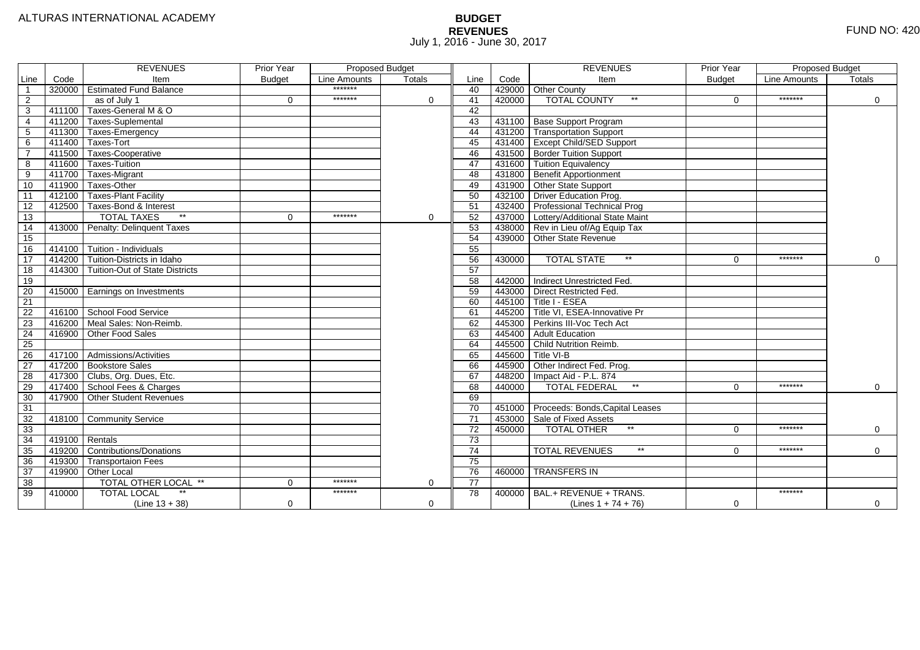# **BUDGET REVENUES** FUND NO: 420 July 1, 2016 - June 30, 2017

|                 |        | <b>REVENUES</b>                       | Prior Year    |              | <b>Proposed Budget</b> |                 |        | <b>REVENUES</b>                       | Prior Year    | <b>Proposed Budget</b> |             |
|-----------------|--------|---------------------------------------|---------------|--------------|------------------------|-----------------|--------|---------------------------------------|---------------|------------------------|-------------|
| Line            | Code   | Item                                  | <b>Budget</b> | Line Amounts | Totals                 | Line            | Code   | Item                                  | <b>Budget</b> | Line Amounts           | Totals      |
| $\overline{1}$  |        | 320000   Estimated Fund Balance       |               | *******      |                        | 40              |        | 429000 Other County                   |               |                        |             |
| $\overline{2}$  |        | as of July 1                          | $\Omega$      | *******      | $\Omega$               | 41              | 420000 | $\star\star$<br><b>TOTAL COUNTY</b>   | $\Omega$      | *******                | $\Omega$    |
| 3               |        | 411100 Taxes-General M & O            |               |              |                        | 42              |        |                                       |               |                        |             |
| $\overline{4}$  |        | 411200 Taxes-Suplemental              |               |              |                        | 43              |        | 431100 Base Support Program           |               |                        |             |
| 5               |        | 411300 Taxes-Emergency                |               |              |                        | 44              | 431200 | <b>Transportation Support</b>         |               |                        |             |
| 6               |        | 411400 Taxes-Tort                     |               |              |                        | 45              |        | 431400 Except Child/SED Support       |               |                        |             |
| $\overline{7}$  |        | 411500 Taxes-Cooperative              |               |              |                        | 46              |        | 431500 Border Tuition Support         |               |                        |             |
| 8               |        | 411600 Taxes Tuition                  |               |              |                        | 47              |        | 431600 Tuition Equivalency            |               |                        |             |
| 9               |        | 411700 Taxes-Migrant                  |               |              |                        | 48              |        | 431800 Benefit Apportionment          |               |                        |             |
| 10              |        | $-411900$ Taxes-Other                 |               |              |                        | 49              |        | 431900 Other State Support            |               |                        |             |
| 11              |        | 412100 Taxes-Plant Facility           |               |              |                        | 50              |        | 432100 Driver Education Prog.         |               |                        |             |
| 12              |        | 412500 Taxes-Bond & Interest          |               |              |                        | 51              |        | 432400 Professional Technical Prog    |               |                        |             |
| 13              |        | $^{\star\star}$<br><b>TOTAL TAXES</b> | $\Omega$      | *******      | 0                      | 52              | 437000 | Lottery/Additional State Maint        |               |                        |             |
| 14              |        | 413000   Penalty: Delinquent Taxes    |               |              |                        | $\overline{53}$ |        | 438000 Rev in Lieu of/Ag Equip Tax    |               |                        |             |
| 15              |        |                                       |               |              |                        | $\overline{54}$ |        | 439000 Other State Revenue            |               |                        |             |
| 16              |        | 414100 Tuition - Individuals          |               |              |                        | 55              |        |                                       |               |                        |             |
| $\overline{17}$ | 414200 | Tuition-Districts in Idaho            |               |              |                        | 56              | 430000 | $*$<br><b>TOTAL STATE</b>             | $\Omega$      | *******                | $\mathbf 0$ |
| 18              |        | 414300 Tuition-Out of State Districts |               |              |                        | 57              |        |                                       |               |                        |             |
| 19              |        |                                       |               |              |                        | 58              | 442000 | Indirect Unrestricted Fed.            |               |                        |             |
| 20              |        | 415000   Earnings on Investments      |               |              |                        | 59              |        | 443000 Direct Restricted Fed.         |               |                        |             |
| 21              |        |                                       |               |              |                        | 60              | 445100 | Title I - ESEA                        |               |                        |             |
| 22              |        | 416100 School Food Service            |               |              |                        | 61              |        | 445200 Title VI. ESEA-Innovative Pr   |               |                        |             |
| $\overline{23}$ |        | 416200 Meal Sales: Non-Reimb.         |               |              |                        | 62              |        | 445300 Perkins III-Voc Tech Act       |               |                        |             |
| 24              |        | 416900 Other Food Sales               |               |              |                        | 63              | 445400 | Adult Education                       |               |                        |             |
| 25              |        |                                       |               |              |                        | 64              | 445500 | Child Nutrition Reimb.                |               |                        |             |
| $\overline{26}$ |        | 417100 Admissions/Activities          |               |              |                        | 65              | 445600 | Title VI-B                            |               |                        |             |
| $\overline{27}$ |        | 417200 Bookstore Sales                |               |              |                        | 66              | 445900 | Other Indirect Fed. Prog.             |               |                        |             |
| 28              |        | 417300 Clubs, Org. Dues, Etc.         |               |              |                        | 67              | 448200 | Impact Aid - P.L. 874                 |               |                        |             |
| 29              |        | 417400 School Fees & Charges          |               |              |                        | 68              | 440000 | $\star\star$<br><b>TOTAL FEDERAL</b>  | $\Omega$      | *******                | $\mathbf 0$ |
| 30              |        | 417900 Other Student Revenues         |               |              |                        | 69              |        |                                       |               |                        |             |
| 31              |        |                                       |               |              |                        | 70              | 451000 | Proceeds: Bonds, Capital Leases       |               |                        |             |
| 32              |        | 418100 Community Service              |               |              |                        | $\overline{71}$ |        | 453000 Sale of Fixed Assets           |               |                        |             |
| 33              |        |                                       |               |              |                        | 72              | 450000 | <b>TOTAL OTHER</b><br>$^{\star\star}$ | $\Omega$      | *******                | 0           |
| 34              |        | $419100$ Rentals                      |               |              |                        | 73              |        |                                       |               |                        |             |
| $\overline{35}$ |        | 419200 Contributions/Donations        |               |              |                        | 74              |        | $\star\star$<br><b>TOTAL REVENUES</b> | $\Omega$      | *******                | $\Omega$    |
| 36              |        | 419300 Transportaion Fees             |               |              |                        | 75              |        |                                       |               |                        |             |
| $\overline{37}$ |        | 419900 Other Local                    |               |              |                        | 76              | 460000 | <b>TRANSFERS IN</b>                   |               |                        |             |
| 38              |        | TOTAL OTHER LOCAL **                  | $\Omega$      | *******      | 0                      | 77              |        |                                       |               |                        |             |
| 39              | 410000 | <b>TOTAL LOCAL</b>                    |               | *******      |                        | 78              | 400000 | BAL.+ REVENUE + TRANS.                |               | *******                |             |
|                 |        | $(Line 13 + 38)$                      | $\mathbf{0}$  |              | $\Omega$               |                 |        | (Lines $1 + 74 + 76$ )                | $\mathbf 0$   |                        | $\mathbf 0$ |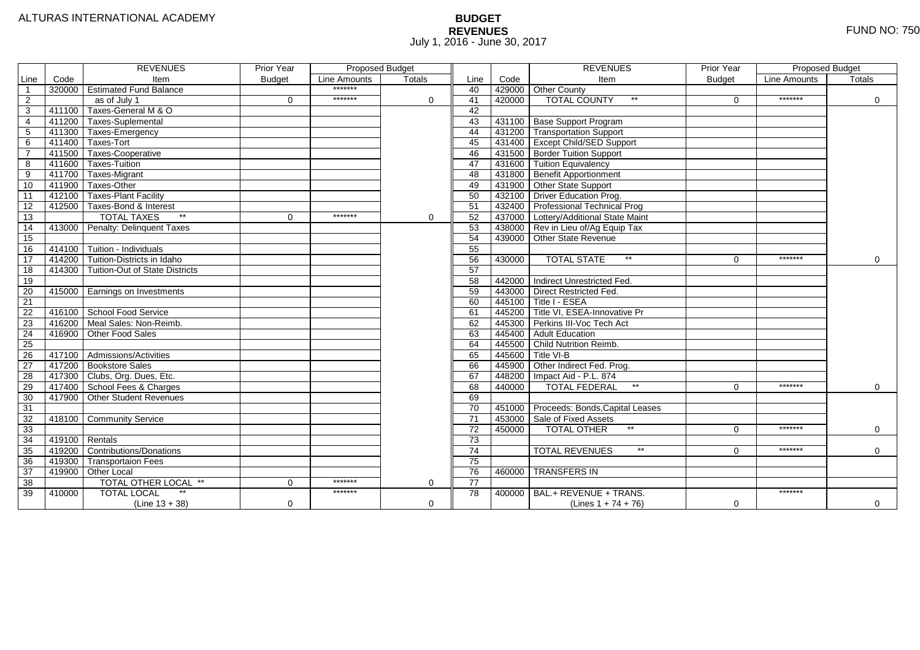# **BUDGET REVENUES** FUND NO: 750 July 1, 2016 - June 30, 2017

|                 |        | <b>REVENUES</b>                       | <b>Prior Year</b> | <b>Proposed Budget</b> |               |                 |        | <b>REVENUES</b>                        | Prior Year    | Proposed Budget |             |
|-----------------|--------|---------------------------------------|-------------------|------------------------|---------------|-----------------|--------|----------------------------------------|---------------|-----------------|-------------|
| Line            | Code   | Item                                  | <b>Budget</b>     | Line Amounts           | <b>Totals</b> | Line            | Code   | Item                                   | <b>Budget</b> | Line Amounts    | Totals      |
|                 |        | 320000 Estimated Fund Balance         |                   | *******                |               | 40              |        | 429000 Other County                    |               |                 |             |
| 2               |        | as of July 1                          | $\Omega$          | *******                | $\Omega$      | 41              | 420000 | <b>TOTAL COUNTY</b><br>$***$           | $\Omega$      | *******         | $\mathbf 0$ |
| 3               | 411100 | Taxes-General M & O                   |                   |                        |               | 42              |        |                                        |               |                 |             |
| $\overline{4}$  | 411200 | <b>Taxes-Suplemental</b>              |                   |                        |               | 43              |        | 431100 Base Support Program            |               |                 |             |
| 5               | 411300 | Taxes-Emergency                       |                   |                        |               | 44              |        | 431200 Transportation Support          |               |                 |             |
| 6               | 411400 | Taxes-Tort                            |                   |                        |               | 45              |        | 431400 Except Child/SED Support        |               |                 |             |
|                 | 411500 | Taxes-Cooperative                     |                   |                        |               | 46              |        | 431500 Border Tuition Support          |               |                 |             |
| 8               | 411600 | Taxes Tuition                         |                   |                        |               | 47              |        | 431600 Tuition Equivalency             |               |                 |             |
| 9               | 411700 | Taxes-Migrant                         |                   |                        |               | 48              |        | 431800 Benefit Apportionment           |               |                 |             |
| 10              | 411900 | Taxes-Other                           |                   |                        |               | 49              |        | 431900 Other State Support             |               |                 |             |
| 11              | 412100 | Taxes-Plant Facility                  |                   |                        |               | 50              |        | 432100 Driver Education Prog.          |               |                 |             |
| 12              | 412500 | Taxes-Bond & Interest                 |                   |                        |               | 51              |        | 432400 Professional Technical Prog     |               |                 |             |
| 13              |        | $*$<br><b>TOTAL TAXES</b>             | 0                 | *******                | $\mathbf 0$   | $\overline{52}$ |        | 437000 Lottery/Additional State Maint  |               |                 |             |
| 14              | 413000 | Penalty: Delinquent Taxes             |                   |                        |               | 53              |        | 438000 Rev in Lieu of/Ag Equip Tax     |               |                 |             |
| 15              |        |                                       |                   |                        |               | 54              |        | 439000 Other State Revenue             |               |                 |             |
| 16              | 414100 | Tuition - Individuals                 |                   |                        |               | 55              |        |                                        |               |                 |             |
| $\overline{17}$ | 414200 | Tuition-Districts in Idaho            |                   |                        |               | 56              | 430000 | $**$<br><b>TOTAL STATE</b>             | $\Omega$      | *******         | 0           |
| 18              | 414300 | <b>Tuition-Out of State Districts</b> |                   |                        |               | 57              |        |                                        |               |                 |             |
| 19              |        |                                       |                   |                        |               | 58              |        | 442000 Indirect Unrestricted Fed.      |               |                 |             |
| 20              |        | 415000 Earnings on Investments        |                   |                        |               | 59              |        | 443000 Direct Restricted Fed.          |               |                 |             |
| 21              |        |                                       |                   |                        |               | 60              |        | $445100$ Title I - ESEA                |               |                 |             |
| 22              |        | 416100 School Food Service            |                   |                        |               | 61              |        | 445200 Title VI, ESEA-Innovative Pr    |               |                 |             |
| 23              | 416200 | Meal Sales: Non-Reimb.                |                   |                        |               | 62              |        | 445300 Perkins III-Voc Tech Act        |               |                 |             |
| 24              | 416900 | Other Food Sales                      |                   |                        |               | 63              |        | 445400 Adult Education                 |               |                 |             |
| 25              |        |                                       |                   |                        |               | 64              |        | 445500 Child Nutrition Reimb.          |               |                 |             |
| 26              |        | 417100 Admissions/Activities          |                   |                        |               | 65              | 445600 | Title VI-B                             |               |                 |             |
| $\overline{27}$ | 417200 | <b>Bookstore Sales</b>                |                   |                        |               | 66              |        | 445900 Other Indirect Fed. Prog.       |               |                 |             |
| 28              | 417300 | Clubs, Org. Dues, Etc.                |                   |                        |               | 67              | 448200 | Impact Aid - P.L. 874                  |               |                 |             |
| 29              | 417400 | School Fees & Charges                 |                   |                        |               | 68              | 440000 | $\star\star$<br><b>TOTAL FEDERAL</b>   | $\Omega$      | *******         | $\mathbf 0$ |
| 30              | 417900 | <b>Other Student Revenues</b>         |                   |                        |               | 69              |        |                                        |               |                 |             |
| $\overline{31}$ |        |                                       |                   |                        |               | $\overline{70}$ |        | 451000 Proceeds: Bonds, Capital Leases |               |                 |             |
| 32              | 418100 | Community Service                     |                   |                        |               | $\overline{71}$ | 453000 | Sale of Fixed Assets                   |               |                 |             |
| 33              |        |                                       |                   |                        |               | 72              | 450000 | $**$<br><b>TOTAL OTHER</b>             | $\Omega$      | *******         | 0           |
| 34              | 419100 | Rentals                               |                   |                        |               | 73              |        |                                        |               |                 |             |
| 35              | 419200 | Contributions/Donations               |                   |                        |               | 74              |        | $***$<br><b>TOTAL REVENUES</b>         | $\Omega$      | *******         | $\Omega$    |
| 36              | 419300 | <b>Transportaion Fees</b>             |                   |                        |               | 75              |        |                                        |               |                 |             |
| 37              | 419900 | Other Local                           |                   |                        |               | 76              |        | 460000 TRANSFERS IN                    |               |                 |             |
| 38              |        | TOTAL OTHER LOCAL **                  | 0                 | *******                | 0             | 77              |        |                                        |               |                 |             |
| 39              | 410000 | <b>TOTAL LOCAL</b><br>$^{\star\star}$ |                   | *******                |               | 78              | 400000 | BAL.+ REVENUE + TRANS.                 |               | *******         |             |
|                 |        | $(Line 13 + 38)$                      | $\Omega$          |                        | $\mathbf 0$   |                 |        | (Lines $1 + 74 + 76$ )                 | $\mathbf 0$   |                 | $\mathbf 0$ |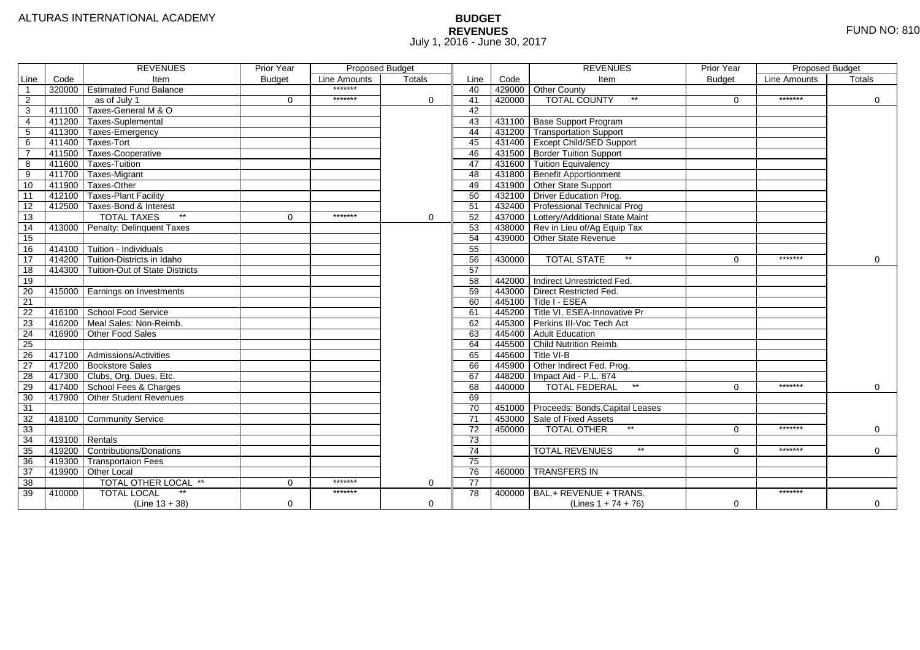# **BUDGET REVENUES** FUND NO: 810 July 1, 2016 - June 30, 2017

|                 |                  | <b>REVENUES</b>                    | Prior Year    | <b>Proposed Budget</b> |             |                 |        | <b>REVENUES</b>                        | <b>Prior Year</b> | Proposed Budget |             |
|-----------------|------------------|------------------------------------|---------------|------------------------|-------------|-----------------|--------|----------------------------------------|-------------------|-----------------|-------------|
| Line            | Code             | Item                               | <b>Budget</b> | Line Amounts           | Totals      | Line            | Code   | Item                                   | <b>Budget</b>     | Line Amounts    | Totals      |
| $\overline{1}$  |                  | 320000 Estimated Fund Balance      |               | *******                |             | 40              |        | 429000 Other County                    |                   |                 |             |
| 2               |                  | as of July 1                       | $\Omega$      | *******                | $\Omega$    | 41              | 420000 | <b>TOTAL COUNTY</b><br>$***$           | $\Omega$          | *******         | 0           |
| 3               | 411100           | Taxes-General M & O                |               |                        |             | 42              |        |                                        |                   |                 |             |
| $\overline{4}$  | 411200           | Taxes-Suplemental                  |               |                        |             | 43              |        | 431100 Base Support Program            |                   |                 |             |
| 5               | 411300           | Taxes-Emergency                    |               |                        |             | 44              |        | 431200 Transportation Support          |                   |                 |             |
| 6               |                  | 411400 Taxes-Tort                  |               |                        |             | 45              |        | 431400 Except Child/SED Support        |                   |                 |             |
|                 |                  | 411500 Taxes-Cooperative           |               |                        |             | 46              |        | 431500 Border Tuition Support          |                   |                 |             |
| 8               | 411600           | Taxes-Tuition                      |               |                        |             | 47              |        | 431600 Tuition Equivalency             |                   |                 |             |
| 9               | 411700           | Taxes-Migrant                      |               |                        |             | 48              |        | 431800 Benefit Apportionment           |                   |                 |             |
| 10              | 411900           | Taxes-Other                        |               |                        |             | 49              |        | 431900 Other State Support             |                   |                 |             |
| 11              |                  | 412100 Taxes-Plant Facility        |               |                        |             | 50              |        | 432100 Driver Education Prog.          |                   |                 |             |
| 12              | 412500           | Taxes-Bond & Interest              |               |                        |             | 51              |        | 432400 Professional Technical Prog     |                   |                 |             |
| 13              |                  | $*$<br><b>TOTAL TAXES</b>          | $\Omega$      | *******                | $\mathbf 0$ | 52              |        | 437000 Lottery/Additional State Maint  |                   |                 |             |
| 14              |                  | 413000 Penalty: Delinquent Taxes   |               |                        |             | 53              |        | 438000 Rev in Lieu of/Ag Equip Tax     |                   |                 |             |
| 15              |                  |                                    |               |                        |             | 54              |        | 439000 Other State Revenue             |                   |                 |             |
| 16              | 414100           | Tuition - Individuals              |               |                        |             | 55              |        |                                        |                   |                 |             |
| 17              | 414200           | Tuition-Districts in Idaho         |               |                        |             | 56              | 430000 | $**$<br><b>TOTAL STATE</b>             | $\Omega$          | *******         | 0           |
| 18              | 414300           | Tuition-Out of State Districts     |               |                        |             | 57              |        |                                        |                   |                 |             |
| 19              |                  |                                    |               |                        |             | 58              |        | 442000 Indirect Unrestricted Fed.      |                   |                 |             |
| 20              |                  | 415000   Earnings on Investments   |               |                        |             | 59              |        | 443000 Direct Restricted Fed.          |                   |                 |             |
| 21              |                  |                                    |               |                        |             | 60              |        | $445100$ Title I - ESEA                |                   |                 |             |
| 22              |                  | 416100 School Food Service         |               |                        |             | 61              |        | 445200 Title VI. ESEA-Innovative Pr    |                   |                 |             |
| 23              |                  | 416200 Meal Sales: Non-Reimb.      |               |                        |             | 62              |        | 445300 Perkins III-Voc Tech Act        |                   |                 |             |
| 24              |                  | 416900 Other Food Sales            |               |                        |             | 63              |        | 445400 Adult Education                 |                   |                 |             |
| $\overline{25}$ |                  |                                    |               |                        |             | 64              |        | 445500 Child Nutrition Reimb.          |                   |                 |             |
| 26              |                  | 417100 Admissions/Activities       |               |                        |             | 65              |        | 445600 Title VI-B                      |                   |                 |             |
| 27              |                  | 417200 Bookstore Sales             |               |                        |             | 66              |        | 445900 Other Indirect Fed. Prog.       |                   |                 |             |
| 28              |                  | 417300 Clubs, Org. Dues, Etc.      |               |                        |             | 67              |        | 448200   Impact Aid - P.L. 874         |                   |                 |             |
| 29              |                  | 417400 School Fees & Charges       |               |                        |             | 68              | 440000 | $\star\star$<br><b>TOTAL FEDERAL</b>   | $\Omega$          | *******         | $\mathbf 0$ |
| 30              |                  | 417900 Other Student Revenues      |               |                        |             | 69              |        |                                        |                   |                 |             |
| 31              |                  |                                    |               |                        |             | $\overline{70}$ |        | 451000 Proceeds: Bonds, Capital Leases |                   |                 |             |
| 32              |                  | 418100 Community Service           |               |                        |             | $\overline{71}$ |        | 453000 Sale of Fixed Assets            |                   |                 |             |
| 33              |                  |                                    |               |                        |             | 72              | 450000 | $*$<br><b>TOTAL OTHER</b>              | $\Omega$          | *******         | $\mathbf 0$ |
| 34              | $419100$ Rentals |                                    |               |                        |             | 73              |        |                                        |                   |                 |             |
| 35              |                  | 419200 Contributions/Donations     |               |                        |             | 74              |        | $***$<br><b>TOTAL REVENUES</b>         | $\Omega$          | *******         | $\Omega$    |
| 36              | 419300           | Transportaion Fees                 |               |                        |             | 75              |        |                                        |                   |                 |             |
| 37              |                  | 419900 Other Local                 |               |                        |             | 76              | 460000 | <b>TRANSFERS IN</b>                    |                   |                 |             |
| 38              |                  | TOTAL OTHER LOCAL **               | 0             | *******                | 0           | $\overline{77}$ |        |                                        |                   |                 |             |
| 39              | 410000           | $\star\star$<br><b>TOTAL LOCAL</b> |               | *******                |             | 78              | 400000 | BAL.+ REVENUE + TRANS.                 |                   | *******         |             |
|                 |                  | $(Line 13 + 38)$                   | 0             |                        | 0           |                 |        | (Lines $1 + 74 + 76$ )                 | 0                 |                 | $\mathbf 0$ |